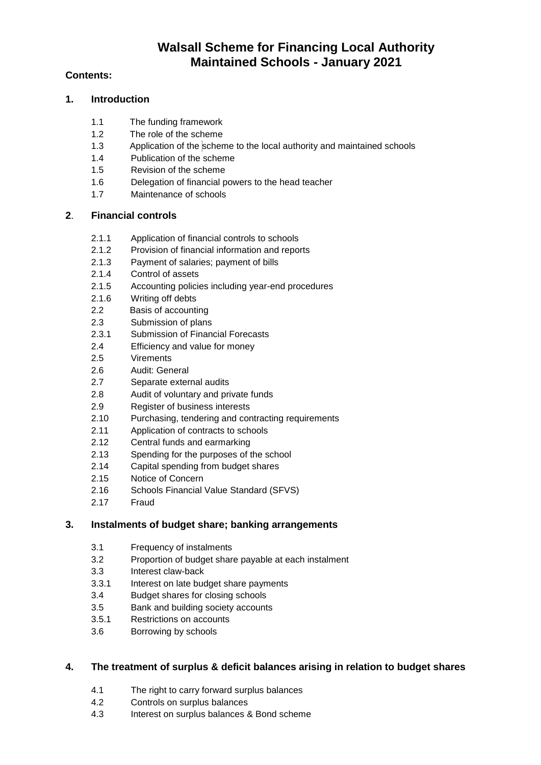# **Walsall Scheme for Financing Local Authority Maintained Schools - January 2021**

# **Contents:**

# **1. Introduction**

- 1.1 The funding framework
- 1.2 The role of the scheme
- 1.3 Application of the scheme to the local authority and maintained schools
- 1.4 Publication of the scheme
- 1.5 Revision of the scheme
- 1.6 Delegation of financial powers to the head teacher
- 1.7 Maintenance of schools

# **2**. **Financial controls**

- 2.1.1 Application of financial controls to schools
- 2.1.2 Provision of financial information and reports
- 2.1.3 Payment of salaries; payment of bills
- 2.1.4 Control of assets
- 2.1.5 Accounting policies including year-end procedures
- 2.1.6 Writing off debts
- 2.2 Basis of accounting
- 2.3 Submission of plans
- 2.3.1 Submission of Financial Forecasts
- 2.4 Efficiency and value for money
- 2.5 Virements
- 2.6 Audit: General
- 2.7 Separate external audits
- 2.8 Audit of voluntary and private funds
- 2.9 Register of business interests
- 2.10 Purchasing, tendering and contracting requirements
- 2.11 Application of contracts to schools
- 2.12 Central funds and earmarking
- 2.13 Spending for the purposes of the school
- 2.14 Capital spending from budget shares
- 2.15 Notice of Concern
- 2.16 Schools Financial Value Standard (SFVS)
- 2.17 Fraud

# **3. Instalments of budget share; banking arrangements**

- 3.1 Frequency of instalments
- 3.2 Proportion of budget share payable at each instalment
- 3.3 Interest claw-back
- 3.3.1 Interest on late budget share payments
- 3.4 Budget shares for closing schools
- 3.5 Bank and building society accounts
- 3.5.1 Restrictions on accounts
- 3.6 Borrowing by schools

# **4. The treatment of surplus & deficit balances arising in relation to budget shares**

- 4.1 The right to carry forward surplus balances
- 4.2 Controls on surplus balances
- 4.3 Interest on surplus balances & Bond scheme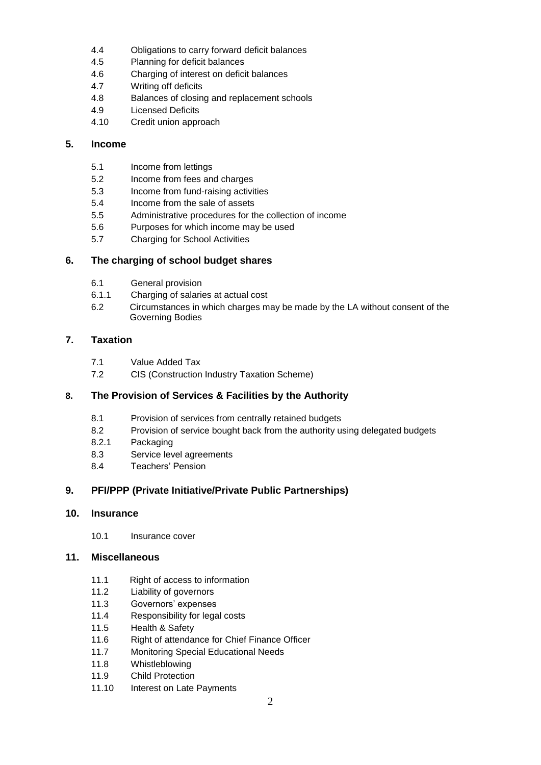- 4.4 Obligations to carry forward deficit balances
- 4.5 Planning for deficit balances
- 4.6 Charging of interest on deficit balances
- 4.7 Writing off deficits
- 4.8 Balances of closing and replacement schools
- 4.9 Licensed Deficits
- 4.10 Credit union approach

# **5. Income**

- 5.1 Income from lettings
- 5.2 Income from fees and charges
- 5.3 Income from fund-raising activities
- 5.4 Income from the sale of assets
- 5.5 Administrative procedures for the collection of income
- 5.6 Purposes for which income may be used
- 5.7 Charging for School Activities

# **6. The charging of school budget shares**

- 6.1 General provision
- 6.1.1 Charging of salaries at actual cost
- 6.2 Circumstances in which charges may be made by the LA without consent of the Governing Bodies

# **7. Taxation**

- 7.1 Value Added Tax
- 7.2 CIS (Construction Industry Taxation Scheme)

# **8. The Provision of Services & Facilities by the Authority**

- 8.1 Provision of services from centrally retained budgets
- 8.2 Provision of service bought back from the authority using delegated budgets
- 8.2.1 Packaging
- 8.3 Service level agreements
- 8.4 Teachers' Pension

# **9. PFI/PPP (Private Initiative/Private Public Partnerships)**

# **10. Insurance**

10.1 Insurance cover

# **11. Miscellaneous**

- 11.1 Right of access to information
- 11.2 Liability of governors
- 11.3 Governors' expenses
- 11.4 Responsibility for legal costs
- 11.5 Health & Safety
- 11.6 Right of attendance for Chief Finance Officer
- 11.7 Monitoring Special Educational Needs
- 11.8 Whistleblowing
- 11.9 Child Protection
- 11.10 Interest on Late Payments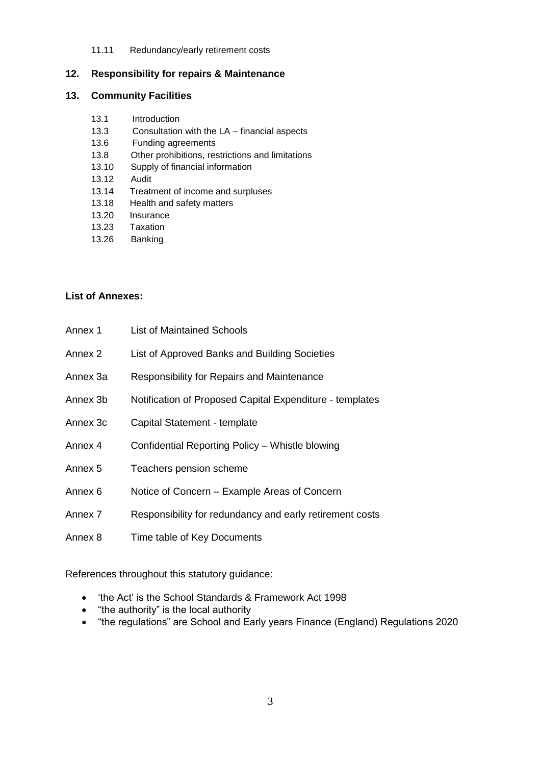#### 11.11 Redundancy/early retirement costs

#### **12. Responsibility for repairs & Maintenance**

## **13. Community Facilities**

- 13.1 Introduction
- 13.3 Consultation with the LA financial aspects
- 13.6 Funding agreements
- 13.8 Other prohibitions, restrictions and limitations
- 13.10 Supply of financial information
- 13.12 Audit
- 13.14 Treatment of income and surpluses
- 13.18 Health and safety matters
- 13.20 Insurance
- 13.23 Taxation
- 13.26 Banking

# **List of Annexes:**

| Annex 1  | List of Maintained Schools                               |
|----------|----------------------------------------------------------|
| Annex 2  | List of Approved Banks and Building Societies            |
| Annex 3a | <b>Responsibility for Repairs and Maintenance</b>        |
| Annex 3b | Notification of Proposed Capital Expenditure - templates |
| Annex 3c | Capital Statement - template                             |
| Annex 4  | Confidential Reporting Policy - Whistle blowing          |
| Annex 5  | Teachers pension scheme                                  |
| Annex 6  | Notice of Concern – Example Areas of Concern             |
| Annex 7  | Responsibility for redundancy and early retirement costs |
| Annex 8  | Time table of Key Documents                              |

References throughout this statutory guidance:

- 'the Act' is the School Standards & Framework Act 1998
- "the authority" is the local authority
- "the regulations" are School and Early years Finance (England) Regulations 2020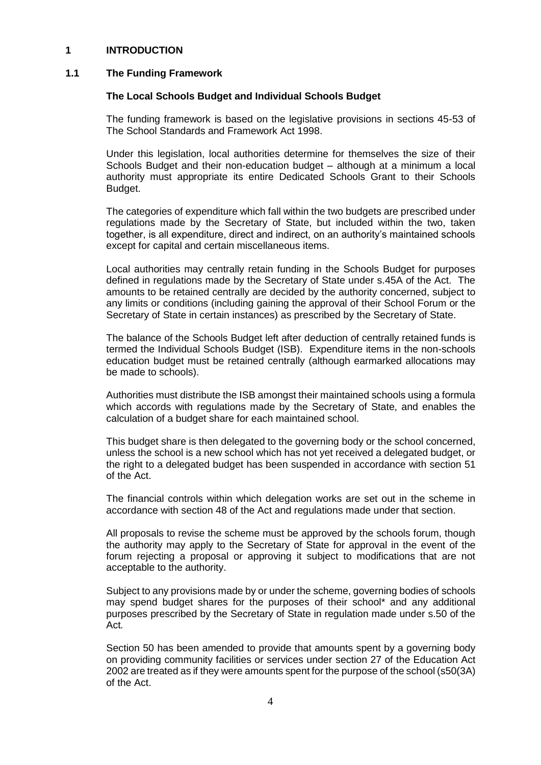#### **1 INTRODUCTION**

#### **1.1 The Funding Framework**

#### **The Local Schools Budget and Individual Schools Budget**

The funding framework is based on the legislative provisions in sections 45-53 of The School Standards and Framework Act 1998.

Under this legislation, local authorities determine for themselves the size of their Schools Budget and their non-education budget – although at a minimum a local authority must appropriate its entire Dedicated Schools Grant to their Schools Budget.

The categories of expenditure which fall within the two budgets are prescribed under regulations made by the Secretary of State, but included within the two, taken together, is all expenditure, direct and indirect, on an authority's maintained schools except for capital and certain miscellaneous items.

Local authorities may centrally retain funding in the Schools Budget for purposes defined in regulations made by the Secretary of State under s.45A of the Act. The amounts to be retained centrally are decided by the authority concerned, subject to any limits or conditions (including gaining the approval of their School Forum or the Secretary of State in certain instances) as prescribed by the Secretary of State.

The balance of the Schools Budget left after deduction of centrally retained funds is termed the Individual Schools Budget (ISB). Expenditure items in the non*-*schools education budget must be retained centrally (although earmarked allocations may be made to schools).

Authorities must distribute the ISB amongst their maintained schools using a formula which accords with regulations made by the Secretary of State, and enables the calculation of a budget share for each maintained school.

This budget share is then delegated to the governing body or the school concerned, unless the school is a new school which has not yet received a delegated budget, or the right to a delegated budget has been suspended in accordance with section 51 of the Act.

The financial controls within which delegation works are set out in the scheme in accordance with section 48 of the Act and regulations made under that section.

All proposals to revise the scheme must be approved by the schools forum, though the authority may apply to the Secretary of State for approval in the event of the forum rejecting a proposal or approving it subject to modifications that are not acceptable to the authority.

Subject to any provisions made by or under the scheme, governing bodies of schools may spend budget shares for the purposes of their school\* and any additional purposes prescribed by the Secretary of State in regulation made under s.50 of the Act*.* 

Section 50 has been amended to provide that amounts spent by a governing body on providing community facilities or services under section 27 of the Education Act 2002 are treated as if they were amounts spent for the purpose of the school (s50(3A) of the Act.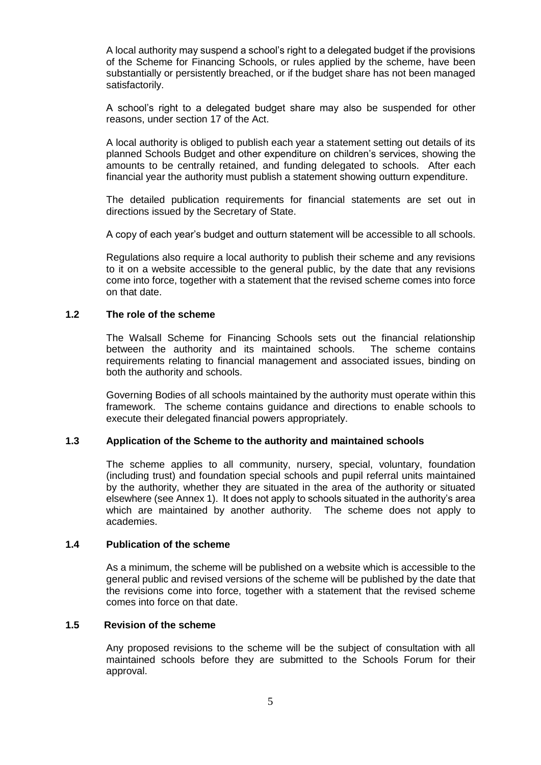A local authority may suspend a school's right to a delegated budget if the provisions of the Scheme for Financing Schools, or rules applied by the scheme, have been substantially or persistently breached, or if the budget share has not been managed satisfactorily.

A school's right to a delegated budget share may also be suspended for other reasons, under section 17 of the Act.

A local authority is obliged to publish each year a statement setting out details of its planned Schools Budget and other expenditure on children's services, showing the amounts to be centrally retained, and funding delegated to schools. After each financial year the authority must publish a statement showing outturn expenditure.

The detailed publication requirements for financial statements are set out in directions issued by the Secretary of State.

A copy of each year's budget and outturn statement will be accessible to all schools.

Regulations also require a local authority to publish their scheme and any revisions to it on a website accessible to the general public, by the date that any revisions come into force, together with a statement that the revised scheme comes into force on that date.

# **1.2 The role of the scheme**

The Walsall Scheme for Financing Schools sets out the financial relationship between the authority and its maintained schools. The scheme contains requirements relating to financial management and associated issues, binding on both the authority and schools.

Governing Bodies of all schools maintained by the authority must operate within this framework. The scheme contains guidance and directions to enable schools to execute their delegated financial powers appropriately.

# **1.3 Application of the Scheme to the authority and maintained schools**

The scheme applies to all community, nursery, special, voluntary, foundation (including trust) and foundation special schools and pupil referral units maintained by the authority, whether they are situated in the area of the authority or situated elsewhere (see Annex 1). It does not apply to schools situated in the authority's area which are maintained by another authority. The scheme does not apply to academies.

#### **1.4 Publication of the scheme**

As a minimum, the scheme will be published on a website which is accessible to the general public and revised versions of the scheme will be published by the date that the revisions come into force, together with a statement that the revised scheme comes into force on that date.

#### **1.5 Revision of the scheme**

Any proposed revisions to the scheme will be the subject of consultation with all maintained schools before they are submitted to the Schools Forum for their approval.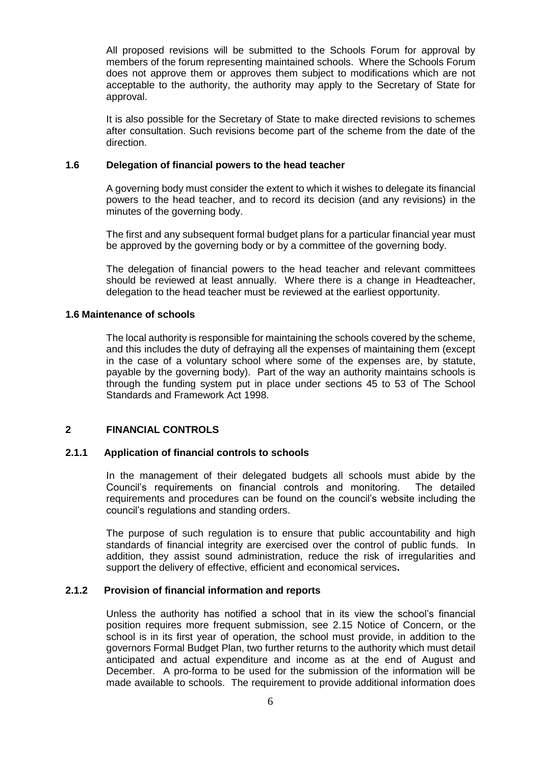All proposed revisions will be submitted to the Schools Forum for approval by members of the forum representing maintained schools. Where the Schools Forum does not approve them or approves them subject to modifications which are not acceptable to the authority, the authority may apply to the Secretary of State for approval.

It is also possible for the Secretary of State to make directed revisions to schemes after consultation. Such revisions become part of the scheme from the date of the direction.

#### **1.6 Delegation of financial powers to the head teacher**

A governing body must consider the extent to which it wishes to delegate its financial powers to the head teacher, and to record its decision (and any revisions) in the minutes of the governing body.

The first and any subsequent formal budget plans for a particular financial year must be approved by the governing body or by a committee of the governing body.

The delegation of financial powers to the head teacher and relevant committees should be reviewed at least annually. Where there is a change in Headteacher, delegation to the head teacher must be reviewed at the earliest opportunity.

# **1.6 Maintenance of schools**

The local authority is responsible for maintaining the schools covered by the scheme, and this includes the duty of defraying all the expenses of maintaining them (except in the case of a voluntary school where some of the expenses are, by statute, payable by the governing body). Part of the way an authority maintains schools is through the funding system put in place under sections 45 to 53 of The School Standards and Framework Act 1998.

# **2 FINANCIAL CONTROLS**

#### **2.1.1 Application of financial controls to schools**

In the management of their delegated budgets all schools must abide by the Council's requirements on financial controls and monitoring. The detailed requirements and procedures can be found on the council's website including the council's regulations and standing orders.

The purpose of such regulation is to ensure that public accountability and high standards of financial integrity are exercised over the control of public funds. In addition, they assist sound administration, reduce the risk of irregularities and support the delivery of effective, efficient and economical services**.** 

#### **2.1.2 Provision of financial information and reports**

Unless the authority has notified a school that in its view the school's financial position requires more frequent submission, see 2.15 Notice of Concern, or the school is in its first year of operation, the school must provide, in addition to the governors Formal Budget Plan, two further returns to the authority which must detail anticipated and actual expenditure and income as at the end of August and December. A pro-forma to be used for the submission of the information will be made available to schools. The requirement to provide additional information does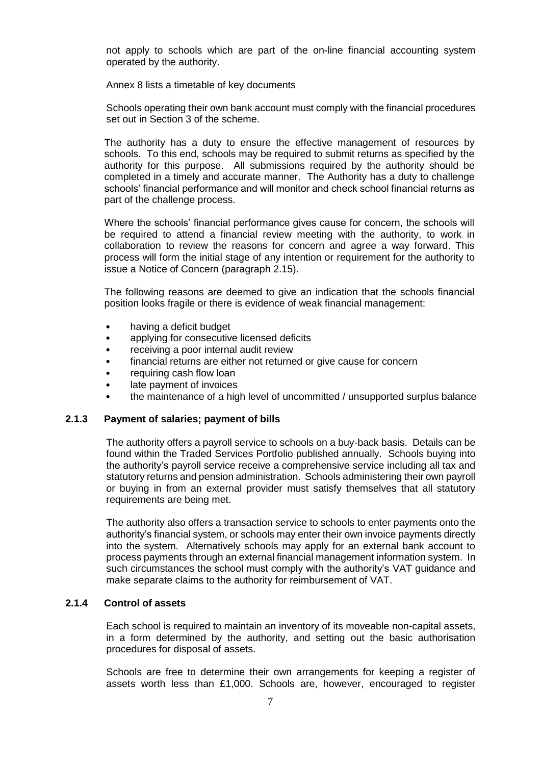not apply to schools which are part of the on-line financial accounting system operated by the authority.

Annex 8 lists a timetable of key documents

Schools operating their own bank account must comply with the financial procedures set out in Section 3 of the scheme.

The authority has a duty to ensure the effective management of resources by schools. To this end, schools may be required to submit returns as specified by the authority for this purpose. All submissions required by the authority should be completed in a timely and accurate manner. The Authority has a duty to challenge schools' financial performance and will monitor and check school financial returns as part of the challenge process.

Where the schools' financial performance gives cause for concern, the schools will be required to attend a financial review meeting with the authority, to work in collaboration to review the reasons for concern and agree a way forward. This process will form the initial stage of any intention or requirement for the authority to issue a Notice of Concern (paragraph 2.15).

The following reasons are deemed to give an indication that the schools financial position looks fragile or there is evidence of weak financial management:

- having a deficit budget
- applying for consecutive licensed deficits
- receiving a poor internal audit review
- financial returns are either not returned or give cause for concern
- requiring cash flow loan
- late payment of invoices
- the maintenance of a high level of uncommitted / unsupported surplus balance

#### **2.1.3 Payment of salaries; payment of bills**

The authority offers a payroll service to schools on a buy-back basis. Details can be found within the Traded Services Portfolio published annually. Schools buying into the authority's payroll service receive a comprehensive service including all tax and statutory returns and pension administration. Schools administering their own payroll or buying in from an external provider must satisfy themselves that all statutory requirements are being met.

The authority also offers a transaction service to schools to enter payments onto the authority's financial system, or schools may enter their own invoice payments directly into the system. Alternatively schools may apply for an external bank account to process payments through an external financial management information system. In such circumstances the school must comply with the authority's VAT guidance and make separate claims to the authority for reimbursement of VAT.

# **2.1.4 Control of assets**

Each school is required to maintain an inventory of its moveable non-capital assets, in a form determined by the authority, and setting out the basic authorisation procedures for disposal of assets.

Schools are free to determine their own arrangements for keeping a register of assets worth less than £1,000. Schools are, however, encouraged to register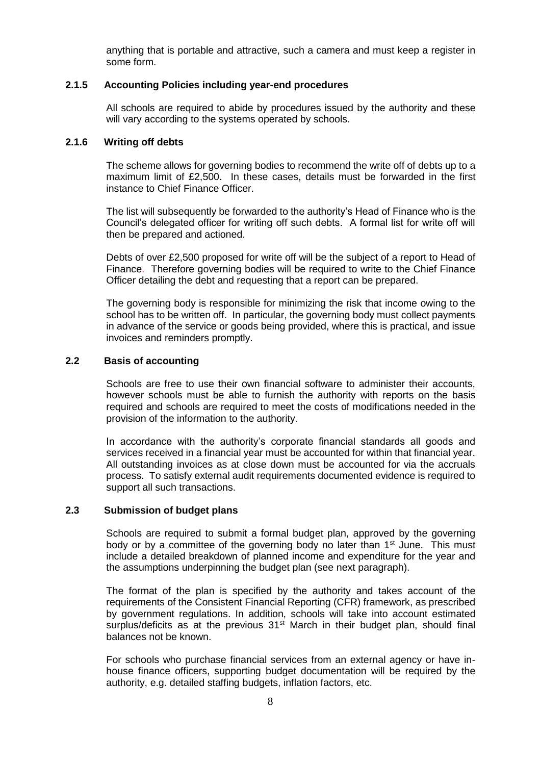anything that is portable and attractive, such a camera and must keep a register in some form.

# **2.1.5 Accounting Policies including year-end procedures**

All schools are required to abide by procedures issued by the authority and these will vary according to the systems operated by schools.

#### **2.1.6 Writing off debts**

The scheme allows for governing bodies to recommend the write off of debts up to a maximum limit of £2,500. In these cases, details must be forwarded in the first instance to Chief Finance Officer.

The list will subsequently be forwarded to the authority's Head of Finance who is the Council's delegated officer for writing off such debts. A formal list for write off will then be prepared and actioned.

Debts of over £2,500 proposed for write off will be the subject of a report to Head of Finance. Therefore governing bodies will be required to write to the Chief Finance Officer detailing the debt and requesting that a report can be prepared.

The governing body is responsible for minimizing the risk that income owing to the school has to be written off. In particular, the governing body must collect payments in advance of the service or goods being provided, where this is practical, and issue invoices and reminders promptly.

#### **2.2 Basis of accounting**

Schools are free to use their own financial software to administer their accounts, however schools must be able to furnish the authority with reports on the basis required and schools are required to meet the costs of modifications needed in the provision of the information to the authority.

In accordance with the authority's corporate financial standards all goods and services received in a financial year must be accounted for within that financial year. All outstanding invoices as at close down must be accounted for via the accruals process. To satisfy external audit requirements documented evidence is required to support all such transactions.

#### **2.3 Submission of budget plans**

Schools are required to submit a formal budget plan, approved by the governing body or by a committee of the governing body no later than 1<sup>st</sup> June. This must include a detailed breakdown of planned income and expenditure for the year and the assumptions underpinning the budget plan (see next paragraph).

The format of the plan is specified by the authority and takes account of the requirements of the Consistent Financial Reporting (CFR) framework, as prescribed by government regulations. In addition, schools will take into account estimated surplus/deficits as at the previous  $31<sup>st</sup>$  March in their budget plan, should final balances not be known.

For schools who purchase financial services from an external agency or have inhouse finance officers, supporting budget documentation will be required by the authority, e.g. detailed staffing budgets, inflation factors, etc.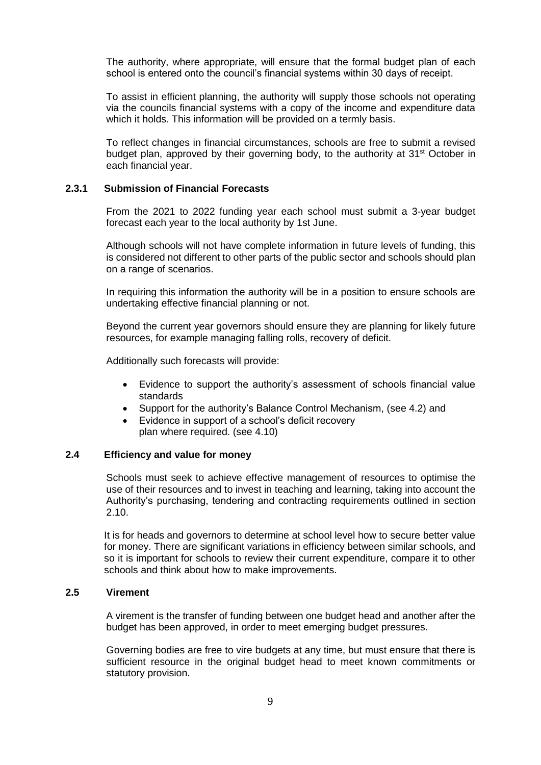The authority, where appropriate, will ensure that the formal budget plan of each school is entered onto the council's financial systems within 30 days of receipt.

To assist in efficient planning, the authority will supply those schools not operating via the councils financial systems with a copy of the income and expenditure data which it holds. This information will be provided on a termly basis.

To reflect changes in financial circumstances, schools are free to submit a revised budget plan, approved by their governing body, to the authority at 31<sup>st</sup> October in each financial year.

## **2.3.1 Submission of Financial Forecasts**

From the 2021 to 2022 funding year each school must submit a 3-year budget forecast each year to the local authority by 1st June.

Although schools will not have complete information in future levels of funding, this is considered not different to other parts of the public sector and schools should plan on a range of scenarios.

In requiring this information the authority will be in a position to ensure schools are undertaking effective financial planning or not.

Beyond the current year governors should ensure they are planning for likely future resources, for example managing falling rolls, recovery of deficit.

Additionally such forecasts will provide:

- Evidence to support the authority's assessment of schools financial value standards
- Support for the authority's Balance Control Mechanism, (see 4.2) and
- Evidence in support of a school's deficit recovery plan where required. (see 4.10)

### **2.4 Efficiency and value for money**

Schools must seek to achieve effective management of resources to optimise the use of their resources and to invest in teaching and learning, taking into account the Authority's purchasing, tendering and contracting requirements outlined in section 2.10.

It is for heads and governors to determine at school level how to secure better value for money. There are significant variations in efficiency between similar schools, and so it is important for schools to review their current expenditure, compare it to other schools and think about how to make improvements.

#### **2.5 Virement**

A virement is the transfer of funding between one budget head and another after the budget has been approved, in order to meet emerging budget pressures.

Governing bodies are free to vire budgets at any time, but must ensure that there is sufficient resource in the original budget head to meet known commitments or statutory provision.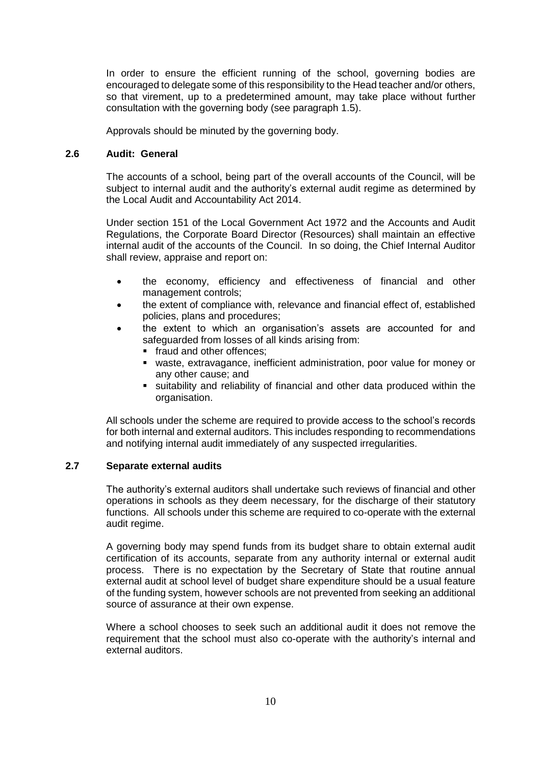In order to ensure the efficient running of the school, governing bodies are encouraged to delegate some of this responsibility to the Head teacher and/or others, so that virement, up to a predetermined amount, may take place without further consultation with the governing body (see paragraph 1.5).

Approvals should be minuted by the governing body.

## **2.6 Audit: General**

The accounts of a school, being part of the overall accounts of the Council, will be subject to internal audit and the authority's external audit regime as determined by the Local Audit and Accountability Act 2014.

Under section 151 of the Local Government Act 1972 and the Accounts and Audit Regulations, the Corporate Board Director (Resources) shall maintain an effective internal audit of the accounts of the Council. In so doing, the Chief Internal Auditor shall review, appraise and report on:

- the economy, efficiency and effectiveness of financial and other management controls;
- the extent of compliance with, relevance and financial effect of, established policies, plans and procedures;
- the extent to which an organisation's assets are accounted for and safeguarded from losses of all kinds arising from:
	- **fixaud and other offences;**
	- waste, extravagance, inefficient administration, poor value for money or any other cause; and
	- suitability and reliability of financial and other data produced within the organisation.

All schools under the scheme are required to provide access to the school's records for both internal and external auditors. This includes responding to recommendations and notifying internal audit immediately of any suspected irregularities.

# **2.7 Separate external audits**

The authority's external auditors shall undertake such reviews of financial and other operations in schools as they deem necessary, for the discharge of their statutory functions. All schools under this scheme are required to co-operate with the external audit regime.

A governing body may spend funds from its budget share to obtain external audit certification of its accounts, separate from any authority internal or external audit process. There is no expectation by the Secretary of State that routine annual external audit at school level of budget share expenditure should be a usual feature of the funding system, however schools are not prevented from seeking an additional source of assurance at their own expense.

Where a school chooses to seek such an additional audit it does not remove the requirement that the school must also co-operate with the authority's internal and external auditors.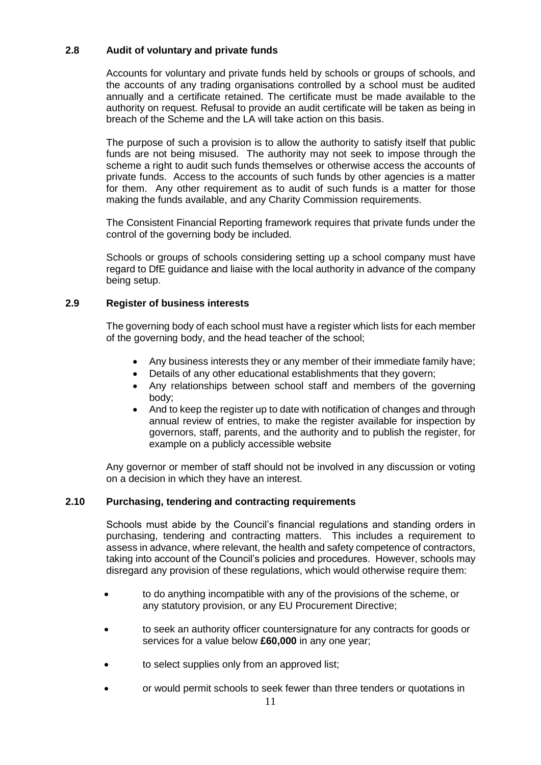# **2.8 Audit of voluntary and private funds**

Accounts for voluntary and private funds held by schools or groups of schools, and the accounts of any trading organisations controlled by a school must be audited annually and a certificate retained. The certificate must be made available to the authority on request. Refusal to provide an audit certificate will be taken as being in breach of the Scheme and the LA will take action on this basis.

The purpose of such a provision is to allow the authority to satisfy itself that public funds are not being misused. The authority may not seek to impose through the scheme a right to audit such funds themselves or otherwise access the accounts of private funds. Access to the accounts of such funds by other agencies is a matter for them. Any other requirement as to audit of such funds is a matter for those making the funds available, and any Charity Commission requirements.

The Consistent Financial Reporting framework requires that private funds under the control of the governing body be included.

Schools or groups of schools considering setting up a school company must have regard to DfE guidance and liaise with the local authority in advance of the company being setup.

# **2.9 Register of business interests**

The governing body of each school must have a register which lists for each member of the governing body, and the head teacher of the school;

- Any business interests they or any member of their immediate family have;
- Details of any other educational establishments that they govern;
- Any relationships between school staff and members of the governing body;
- And to keep the register up to date with notification of changes and through annual review of entries, to make the register available for inspection by governors, staff, parents, and the authority and to publish the register, for example on a publicly accessible website

Any governor or member of staff should not be involved in any discussion or voting on a decision in which they have an interest.

# **2.10 Purchasing, tendering and contracting requirements**

Schools must abide by the Council's financial regulations and standing orders in purchasing, tendering and contracting matters. This includes a requirement to assess in advance, where relevant, the health and safety competence of contractors, taking into account of the Council's policies and procedures. However, schools may disregard any provision of these regulations, which would otherwise require them:

- to do anything incompatible with any of the provisions of the scheme, or any statutory provision, or any EU Procurement Directive;
- to seek an authority officer countersignature for any contracts for goods or services for a value below **£60,000** in any one year;
- to select supplies only from an approved list;
- or would permit schools to seek fewer than three tenders or quotations in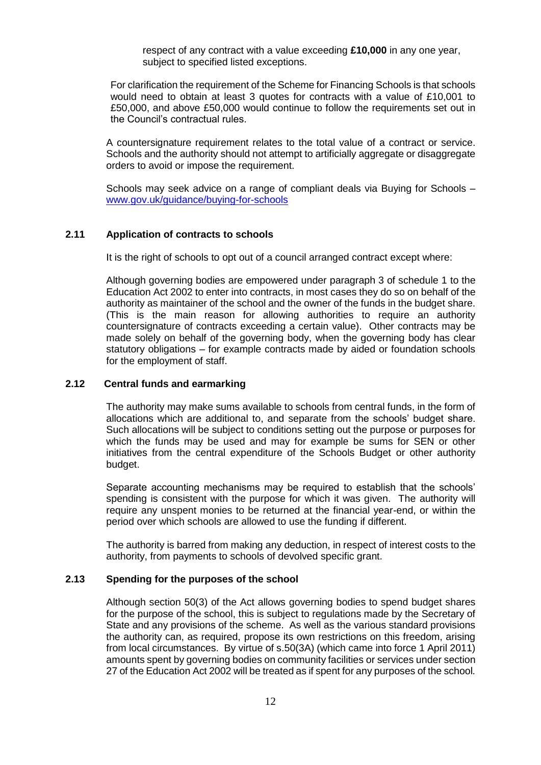respect of any contract with a value exceeding **£10,000** in any one year, subject to specified listed exceptions.

For clarification the requirement of the Scheme for Financing Schools is that schools would need to obtain at least 3 quotes for contracts with a value of £10,001 to £50,000, and above £50,000 would continue to follow the requirements set out in the Council's contractual rules.

A countersignature requirement relates to the total value of a contract or service. Schools and the authority should not attempt to artificially aggregate or disaggregate orders to avoid or impose the requirement.

Schools may seek advice on a range of compliant deals via Buying for Schools – [www.gov.uk/guidance/buying-for-schools](http://www.gov.uk/guidance/buying-for-schools)

# **2.11 Application of contracts to schools**

It is the right of schools to opt out of a council arranged contract except where:

Although governing bodies are empowered under paragraph 3 of schedule 1 to the Education Act 2002 to enter into contracts, in most cases they do so on behalf of the authority as maintainer of the school and the owner of the funds in the budget share. (This is the main reason for allowing authorities to require an authority countersignature of contracts exceeding a certain value). Other contracts may be made solely on behalf of the governing body, when the governing body has clear statutory obligations – for example contracts made by aided or foundation schools for the employment of staff.

# **2.12 Central funds and earmarking**

The authority may make sums available to schools from central funds, in the form of allocations which are additional to, and separate from the schools' budget share. Such allocations will be subject to conditions setting out the purpose or purposes for which the funds may be used and may for example be sums for SEN or other initiatives from the central expenditure of the Schools Budget or other authority budget.

Separate accounting mechanisms may be required to establish that the schools' spending is consistent with the purpose for which it was given. The authority will require any unspent monies to be returned at the financial year-end, or within the period over which schools are allowed to use the funding if different.

The authority is barred from making any deduction, in respect of interest costs to the authority, from payments to schools of devolved specific grant.

#### **2.13 Spending for the purposes of the school**

Although section 50(3) of the Act allows governing bodies to spend budget shares for the purpose of the school, this is subject to regulations made by the Secretary of State and any provisions of the scheme. As well as the various standard provisions the authority can, as required, propose its own restrictions on this freedom, arising from local circumstances. By virtue of s.50(3A) (which came into force 1 April 2011) amounts spent by governing bodies on community facilities or services under section 27 of the Education Act 2002 will be treated as if spent for any purposes of the school*.*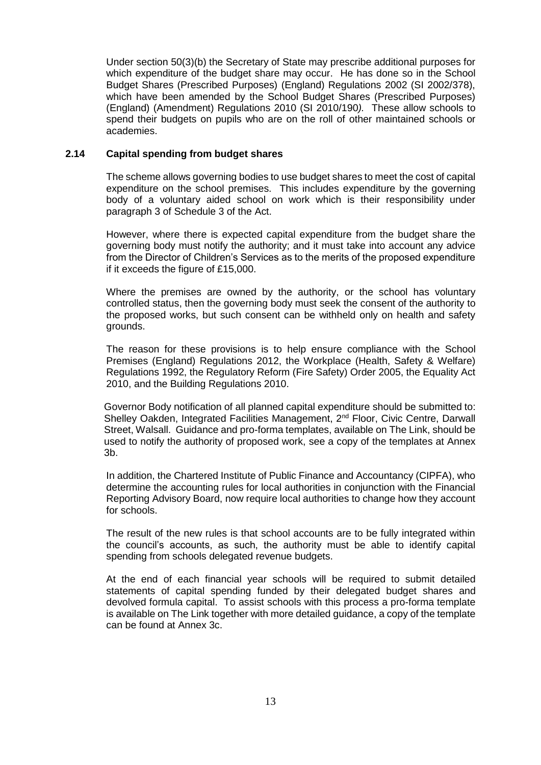Under section 50(3)(b) the Secretary of State may prescribe additional purposes for which expenditure of the budget share may occur. He has done so in the School Budget Shares (Prescribed Purposes) (England) Regulations 2002 (SI 2002/378), which have been amended by the School Budget Shares (Prescribed Purposes) (England) (Amendment) Regulations 2010 (SI 2010/190*).* These allow schools to spend their budgets on pupils who are on the roll of other maintained schools or academies.

## **2.14 Capital spending from budget shares**

The scheme allows governing bodies to use budget shares to meet the cost of capital expenditure on the school premises. This includes expenditure by the governing body of a voluntary aided school on work which is their responsibility under paragraph 3 of Schedule 3 of the Act.

However, where there is expected capital expenditure from the budget share the governing body must notify the authority; and it must take into account any advice from the Director of Children's Services as to the merits of the proposed expenditure if it exceeds the figure of £15,000.

Where the premises are owned by the authority, or the school has voluntary controlled status, then the governing body must seek the consent of the authority to the proposed works, but such consent can be withheld only on health and safety grounds.

The reason for these provisions is to help ensure compliance with the School Premises (England) Regulations 2012, the Workplace (Health, Safety & Welfare) Regulations 1992, the Regulatory Reform (Fire Safety) Order 2005, the Equality Act 2010, and the Building Regulations 2010.

Governor Body notification of all planned capital expenditure should be submitted to: Shelley Oakden, Integrated Facilities Management, 2<sup>nd</sup> Floor, Civic Centre, Darwall Street, Walsall. Guidance and pro-forma templates, available on The Link, should be used to notify the authority of proposed work, see a copy of the templates at Annex 3b.

In addition, the Chartered Institute of Public Finance and Accountancy (CIPFA), who determine the accounting rules for local authorities in conjunction with the Financial Reporting Advisory Board, now require local authorities to change how they account for schools.

The result of the new rules is that school accounts are to be fully integrated within the council's accounts, as such, the authority must be able to identify capital spending from schools delegated revenue budgets.

At the end of each financial year schools will be required to submit detailed statements of capital spending funded by their delegated budget shares and devolved formula capital. To assist schools with this process a pro-forma template is available on The Link together with more detailed guidance, a copy of the template can be found at Annex 3c.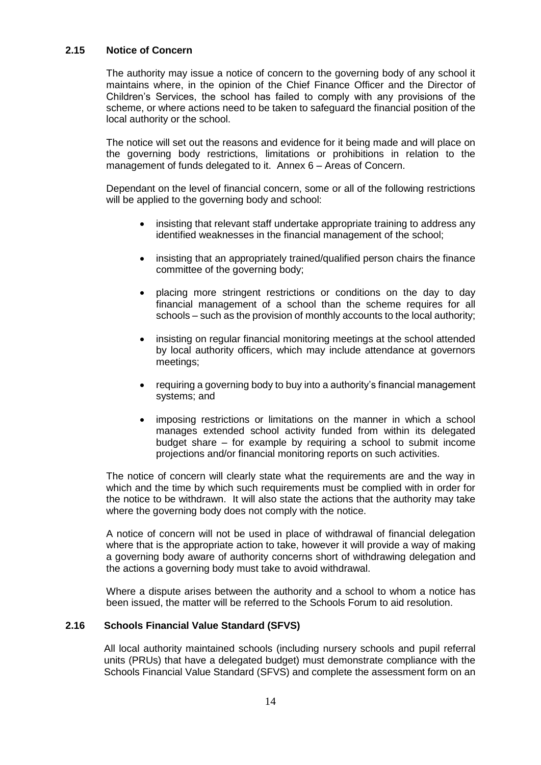# **2.15 Notice of Concern**

The authority may issue a notice of concern to the governing body of any school it maintains where, in the opinion of the Chief Finance Officer and the Director of Children's Services, the school has failed to comply with any provisions of the scheme, or where actions need to be taken to safeguard the financial position of the local authority or the school.

The notice will set out the reasons and evidence for it being made and will place on the governing body restrictions, limitations or prohibitions in relation to the management of funds delegated to it. Annex 6 – Areas of Concern.

Dependant on the level of financial concern, some or all of the following restrictions will be applied to the governing body and school:

- insisting that relevant staff undertake appropriate training to address any identified weaknesses in the financial management of the school;
- insisting that an appropriately trained/qualified person chairs the finance committee of the governing body;
- placing more stringent restrictions or conditions on the day to day financial management of a school than the scheme requires for all schools – such as the provision of monthly accounts to the local authority;
- insisting on regular financial monitoring meetings at the school attended by local authority officers, which may include attendance at governors meetings;
- requiring a governing body to buy into a authority's financial management systems; and
- imposing restrictions or limitations on the manner in which a school manages extended school activity funded from within its delegated budget share – for example by requiring a school to submit income projections and/or financial monitoring reports on such activities.

The notice of concern will clearly state what the requirements are and the way in which and the time by which such requirements must be complied with in order for the notice to be withdrawn. It will also state the actions that the authority may take where the governing body does not comply with the notice.

A notice of concern will not be used in place of withdrawal of financial delegation where that is the appropriate action to take, however it will provide a way of making a governing body aware of authority concerns short of withdrawing delegation and the actions a governing body must take to avoid withdrawal.

Where a dispute arises between the authority and a school to whom a notice has been issued, the matter will be referred to the Schools Forum to aid resolution.

# **2.16 Schools Financial Value Standard (SFVS)**

All local authority maintained schools (including nursery schools and pupil referral units (PRUs) that have a delegated budget) must demonstrate compliance with the Schools Financial Value Standard (SFVS) and complete the assessment form on an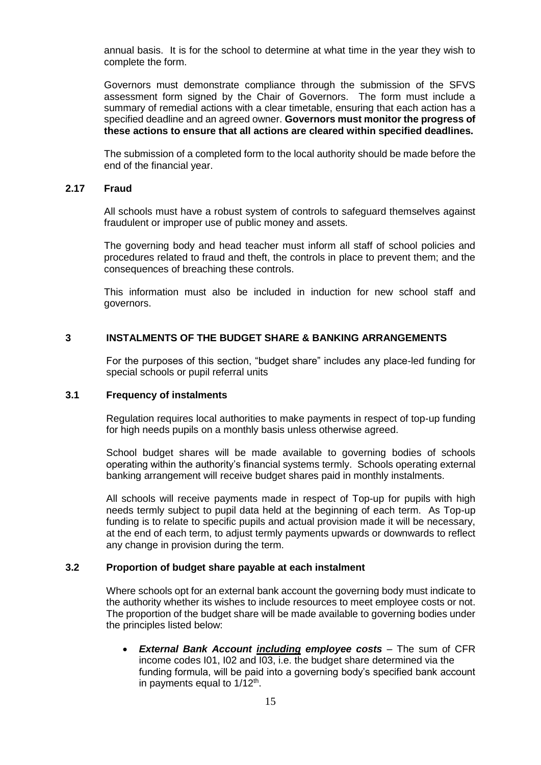annual basis. It is for the school to determine at what time in the year they wish to complete the form.

Governors must demonstrate compliance through the submission of the SFVS assessment form signed by the Chair of Governors. The form must include a summary of remedial actions with a clear timetable, ensuring that each action has a specified deadline and an agreed owner. **Governors must monitor the progress of these actions to ensure that all actions are cleared within specified deadlines.**

The submission of a completed form to the local authority should be made before the end of the financial year.

#### **2.17 Fraud**

All schools must have a robust system of controls to safeguard themselves against fraudulent or improper use of public money and assets.

The governing body and head teacher must inform all staff of school policies and procedures related to fraud and theft, the controls in place to prevent them; and the consequences of breaching these controls.

This information must also be included in induction for new school staff and governors.

# **3 INSTALMENTS OF THE BUDGET SHARE & BANKING ARRANGEMENTS**

For the purposes of this section, "budget share" includes any place-led funding for special schools or pupil referral units

#### **3.1 Frequency of instalments**

Regulation requires local authorities to make payments in respect of top-up funding for high needs pupils on a monthly basis unless otherwise agreed.

School budget shares will be made available to governing bodies of schools operating within the authority's financial systems termly. Schools operating external banking arrangement will receive budget shares paid in monthly instalments.

All schools will receive payments made in respect of Top-up for pupils with high needs termly subject to pupil data held at the beginning of each term. As Top-up funding is to relate to specific pupils and actual provision made it will be necessary, at the end of each term, to adjust termly payments upwards or downwards to reflect any change in provision during the term.

#### **3.2 Proportion of budget share payable at each instalment**

Where schools opt for an external bank account the governing body must indicate to the authority whether its wishes to include resources to meet employee costs or not. The proportion of the budget share will be made available to governing bodies under the principles listed below:

 *External Bank Account including employee costs* – The sum of CFR income codes I01, I02 and I03, i.e. the budget share determined via the funding formula, will be paid into a governing body's specified bank account in payments equal to  $1/12<sup>th</sup>$ .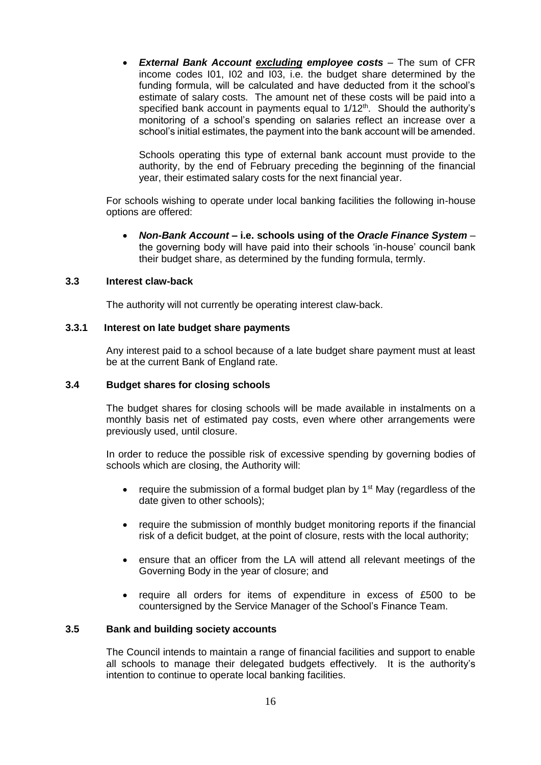*External Bank Account excluding employee costs –* The sum of CFR income codes I01, I02 and I03, i.e. the budget share determined by the funding formula, will be calculated and have deducted from it the school's estimate of salary costs. The amount net of these costs will be paid into a specified bank account in payments equal to  $1/12<sup>th</sup>$ . Should the authority's monitoring of a school's spending on salaries reflect an increase over a school's initial estimates, the payment into the bank account will be amended.

Schools operating this type of external bank account must provide to the authority, by the end of February preceding the beginning of the financial year, their estimated salary costs for the next financial year.

For schools wishing to operate under local banking facilities the following in-house options are offered:

 *Non-Bank Account –* **i.e. schools using of the** *Oracle Finance System –* the governing body will have paid into their schools 'in-house' council bank their budget share, as determined by the funding formula, termly.

#### **3.3 Interest claw-back**

The authority will not currently be operating interest claw-back.

#### **3.3.1 Interest on late budget share payments**

Any interest paid to a school because of a late budget share payment must at least be at the current Bank of England rate.

#### **3.4 Budget shares for closing schools**

The budget shares for closing schools will be made available in instalments on a monthly basis net of estimated pay costs, even where other arrangements were previously used, until closure.

In order to reduce the possible risk of excessive spending by governing bodies of schools which are closing, the Authority will:

- require the submission of a formal budget plan by  $1<sup>st</sup>$  May (regardless of the date given to other schools);
- require the submission of monthly budget monitoring reports if the financial risk of a deficit budget, at the point of closure, rests with the local authority;
- ensure that an officer from the LA will attend all relevant meetings of the Governing Body in the year of closure; and
- require all orders for items of expenditure in excess of £500 to be countersigned by the Service Manager of the School's Finance Team.

#### **3.5 Bank and building society accounts**

The Council intends to maintain a range of financial facilities and support to enable all schools to manage their delegated budgets effectively. It is the authority's intention to continue to operate local banking facilities.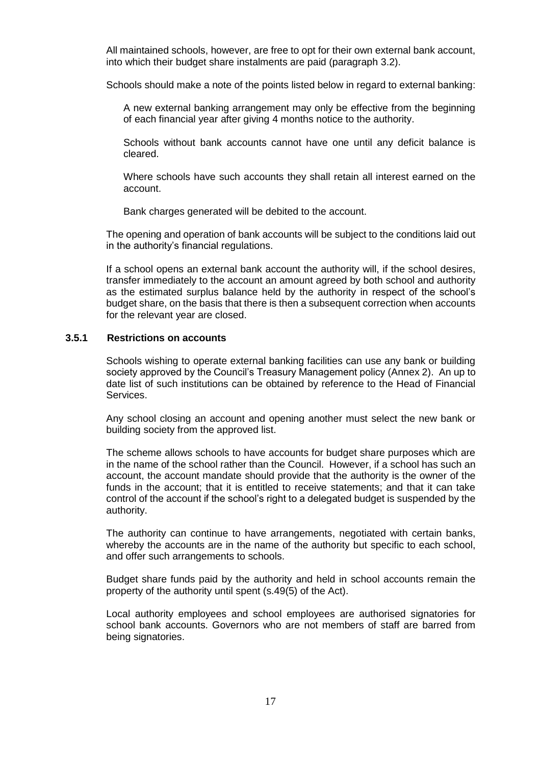All maintained schools, however, are free to opt for their own external bank account, into which their budget share instalments are paid (paragraph 3.2).

Schools should make a note of the points listed below in regard to external banking:

A new external banking arrangement may only be effective from the beginning of each financial year after giving 4 months notice to the authority.

Schools without bank accounts cannot have one until any deficit balance is cleared.

Where schools have such accounts they shall retain all interest earned on the account.

Bank charges generated will be debited to the account.

The opening and operation of bank accounts will be subject to the conditions laid out in the authority's financial regulations.

If a school opens an external bank account the authority will, if the school desires, transfer immediately to the account an amount agreed by both school and authority as the estimated surplus balance held by the authority in respect of the school's budget share, on the basis that there is then a subsequent correction when accounts for the relevant year are closed.

#### **3.5.1 Restrictions on accounts**

Schools wishing to operate external banking facilities can use any bank or building society approved by the Council's Treasury Management policy (Annex 2). An up to date list of such institutions can be obtained by reference to the Head of Financial Services.

Any school closing an account and opening another must select the new bank or building society from the approved list.

The scheme allows schools to have accounts for budget share purposes which are in the name of the school rather than the Council. However, if a school has such an account, the account mandate should provide that the authority is the owner of the funds in the account; that it is entitled to receive statements; and that it can take control of the account if the school's right to a delegated budget is suspended by the authority.

The authority can continue to have arrangements, negotiated with certain banks, whereby the accounts are in the name of the authority but specific to each school, and offer such arrangements to schools.

Budget share funds paid by the authority and held in school accounts remain the property of the authority until spent (s.49(5) of the Act).

Local authority employees and school employees are authorised signatories for school bank accounts. Governors who are not members of staff are barred from being signatories.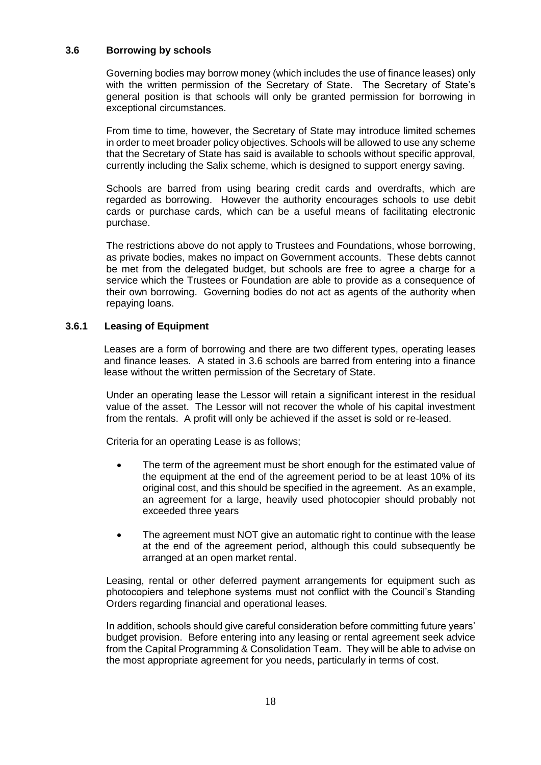# **3.6 Borrowing by schools**

Governing bodies may borrow money (which includes the use of finance leases) only with the written permission of the Secretary of State. The Secretary of State's general position is that schools will only be granted permission for borrowing in exceptional circumstances.

From time to time, however, the Secretary of State may introduce limited schemes in order to meet broader policy objectives. Schools will be allowed to use any scheme that the Secretary of State has said is available to schools without specific approval, currently including the Salix scheme, which is designed to support energy saving.

Schools are barred from using bearing credit cards and overdrafts, which are regarded as borrowing. However the authority encourages schools to use debit cards or purchase cards, which can be a useful means of facilitating electronic purchase.

The restrictions above do not apply to Trustees and Foundations, whose borrowing, as private bodies, makes no impact on Government accounts. These debts cannot be met from the delegated budget, but schools are free to agree a charge for a service which the Trustees or Foundation are able to provide as a consequence of their own borrowing. Governing bodies do not act as agents of the authority when repaying loans.

# **3.6.1 Leasing of Equipment**

Leases are a form of borrowing and there are two different types, operating leases and finance leases. A stated in 3.6 schools are barred from entering into a finance lease without the written permission of the Secretary of State.

Under an operating lease the Lessor will retain a significant interest in the residual value of the asset. The Lessor will not recover the whole of his capital investment from the rentals. A profit will only be achieved if the asset is sold or re-leased.

Criteria for an operating Lease is as follows;

- The term of the agreement must be short enough for the estimated value of the equipment at the end of the agreement period to be at least 10% of its original cost, and this should be specified in the agreement. As an example, an agreement for a large, heavily used photocopier should probably not exceeded three years
- The agreement must NOT give an automatic right to continue with the lease at the end of the agreement period, although this could subsequently be arranged at an open market rental.

Leasing, rental or other deferred payment arrangements for equipment such as photocopiers and telephone systems must not conflict with the Council's Standing Orders regarding financial and operational leases.

In addition, schools should give careful consideration before committing future years' budget provision. Before entering into any leasing or rental agreement seek advice from the Capital Programming & Consolidation Team. They will be able to advise on the most appropriate agreement for you needs, particularly in terms of cost.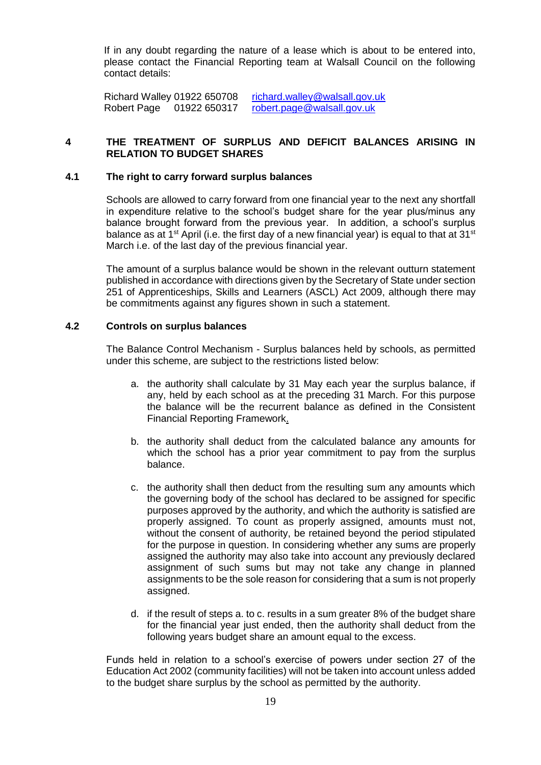If in any doubt regarding the nature of a lease which is about to be entered into, please contact the Financial Reporting team at Walsall Council on the following contact details:

Richard Walley 01922 650708 [richard.walley@walsall.gov.uk](mailto:richard.walley@walsall.gov.uk) Robert Page 01922 650317 [robert.page@walsall.gov.uk](mailto:robert.page@walsall.gov.uk)

# **4 THE TREATMENT OF SURPLUS AND DEFICIT BALANCES ARISING IN RELATION TO BUDGET SHARES**

#### **4.1 The right to carry forward surplus balances**

Schools are allowed to carry forward from one financial year to the next any shortfall in expenditure relative to the school's budget share for the year plus/minus any balance brought forward from the previous year. In addition, a school's surplus balance as at 1<sup>st</sup> April (i.e. the first day of a new financial year) is equal to that at 31<sup>st</sup> March i.e. of the last day of the previous financial year.

The amount of a surplus balance would be shown in the relevant outturn statement published in accordance with directions given by the Secretary of State under section 251 of Apprenticeships, Skills and Learners (ASCL) Act 2009, although there may be commitments against any figures shown in such a statement.

#### **4.2 Controls on surplus balances**

The Balance Control Mechanism - Surplus balances held by schools, as permitted under this scheme, are subject to the restrictions listed below:

- a. the authority shall calculate by 31 May each year the surplus balance, if any, held by each school as at the preceding 31 March. For this purpose the balance will be the recurrent balance as defined in the Consistent Financial Reporting Framework.
- b. the authority shall deduct from the calculated balance any amounts for which the school has a prior year commitment to pay from the surplus balance.
- c. the authority shall then deduct from the resulting sum any amounts which the governing body of the school has declared to be assigned for specific purposes approved by the authority, and which the authority is satisfied are properly assigned. To count as properly assigned, amounts must not, without the consent of authority, be retained beyond the period stipulated for the purpose in question. In considering whether any sums are properly assigned the authority may also take into account any previously declared assignment of such sums but may not take any change in planned assignments to be the sole reason for considering that a sum is not properly assigned.
- d. if the result of steps a. to c. results in a sum greater 8% of the budget share for the financial year just ended, then the authority shall deduct from the following years budget share an amount equal to the excess.

Funds held in relation to a school's exercise of powers under section 27 of the Education Act 2002 (community facilities) will not be taken into account unless added to the budget share surplus by the school as permitted by the authority.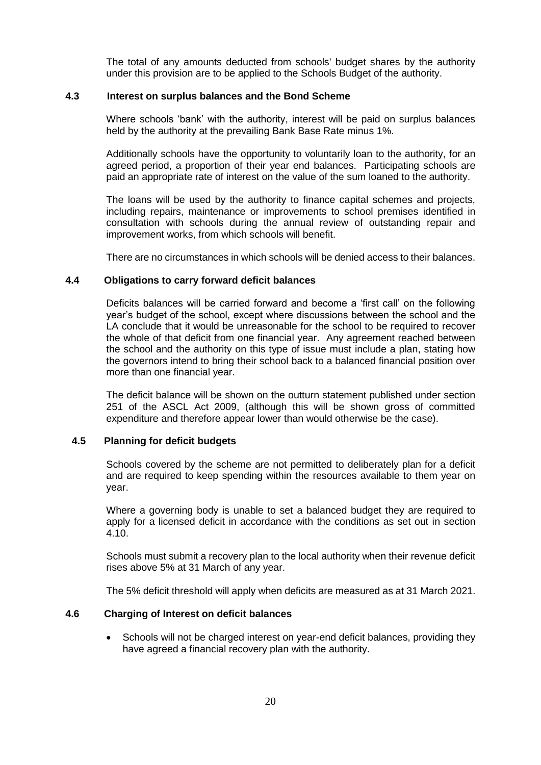The total of any amounts deducted from schools' budget shares by the authority under this provision are to be applied to the Schools Budget of the authority.

#### **4.3 Interest on surplus balances and the Bond Scheme**

Where schools 'bank' with the authority, interest will be paid on surplus balances held by the authority at the prevailing Bank Base Rate minus 1%.

Additionally schools have the opportunity to voluntarily loan to the authority, for an agreed period, a proportion of their year end balances. Participating schools are paid an appropriate rate of interest on the value of the sum loaned to the authority.

The loans will be used by the authority to finance capital schemes and projects, including repairs, maintenance or improvements to school premises identified in consultation with schools during the annual review of outstanding repair and improvement works, from which schools will benefit.

There are no circumstances in which schools will be denied access to their balances.

#### **4.4 Obligations to carry forward deficit balances**

Deficits balances will be carried forward and become a 'first call' on the following year's budget of the school, except where discussions between the school and the LA conclude that it would be unreasonable for the school to be required to recover the whole of that deficit from one financial year. Any agreement reached between the school and the authority on this type of issue must include a plan, stating how the governors intend to bring their school back to a balanced financial position over more than one financial year.

The deficit balance will be shown on the outturn statement published under section 251 of the ASCL Act 2009, (although this will be shown gross of committed expenditure and therefore appear lower than would otherwise be the case).

# **4.5 Planning for deficit budgets**

Schools covered by the scheme are not permitted to deliberately plan for a deficit and are required to keep spending within the resources available to them year on year.

Where a governing body is unable to set a balanced budget they are required to apply for a licensed deficit in accordance with the conditions as set out in section 4.10.

Schools must submit a recovery plan to the local authority when their revenue deficit rises above 5% at 31 March of any year.

The 5% deficit threshold will apply when deficits are measured as at 31 March 2021.

# **4.6 Charging of Interest on deficit balances**

• Schools will not be charged interest on year-end deficit balances, providing they have agreed a financial recovery plan with the authority.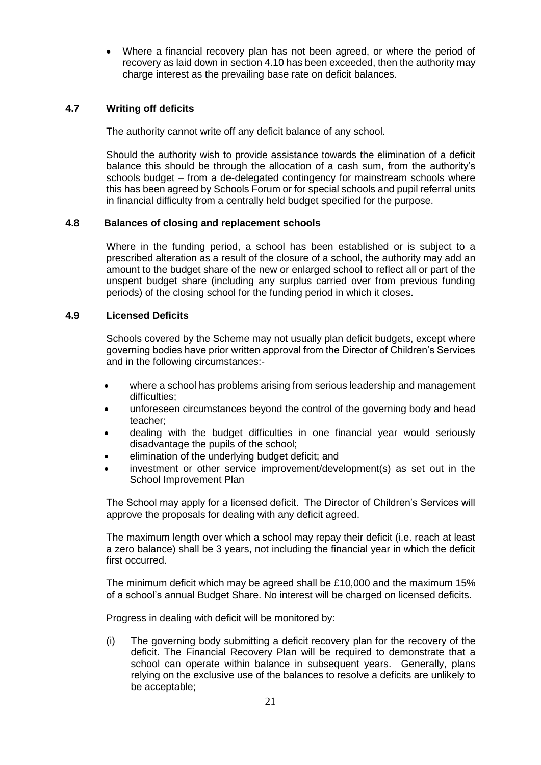Where a financial recovery plan has not been agreed, or where the period of recovery as laid down in section 4.10 has been exceeded, then the authority may charge interest as the prevailing base rate on deficit balances.

# **4.7 Writing off deficits**

The authority cannot write off any deficit balance of any school.

Should the authority wish to provide assistance towards the elimination of a deficit balance this should be through the allocation of a cash sum, from the authority's schools budget – from a de-delegated contingency for mainstream schools where this has been agreed by Schools Forum or for special schools and pupil referral units in financial difficulty from a centrally held budget specified for the purpose.

# **4.8 Balances of closing and replacement schools**

Where in the funding period, a school has been established or is subject to a prescribed alteration as a result of the closure of a school, the authority may add an amount to the budget share of the new or enlarged school to reflect all or part of the unspent budget share (including any surplus carried over from previous funding periods) of the closing school for the funding period in which it closes.

# **4.9 Licensed Deficits**

Schools covered by the Scheme may not usually plan deficit budgets, except where governing bodies have prior written approval from the Director of Children's Services and in the following circumstances:-

- where a school has problems arising from serious leadership and management difficulties;
- unforeseen circumstances beyond the control of the governing body and head teacher;
- dealing with the budget difficulties in one financial year would seriously disadvantage the pupils of the school;
- elimination of the underlying budget deficit; and
- investment or other service improvement/development(s) as set out in the School Improvement Plan

The School may apply for a licensed deficit. The Director of Children's Services will approve the proposals for dealing with any deficit agreed.

The maximum length over which a school may repay their deficit (i.e. reach at least a zero balance) shall be 3 years, not including the financial year in which the deficit first occurred.

The minimum deficit which may be agreed shall be £10,000 and the maximum 15% of a school's annual Budget Share. No interest will be charged on licensed deficits.

Progress in dealing with deficit will be monitored by:

(i) The governing body submitting a deficit recovery plan for the recovery of the deficit. The Financial Recovery Plan will be required to demonstrate that a school can operate within balance in subsequent years. Generally, plans relying on the exclusive use of the balances to resolve a deficits are unlikely to be acceptable;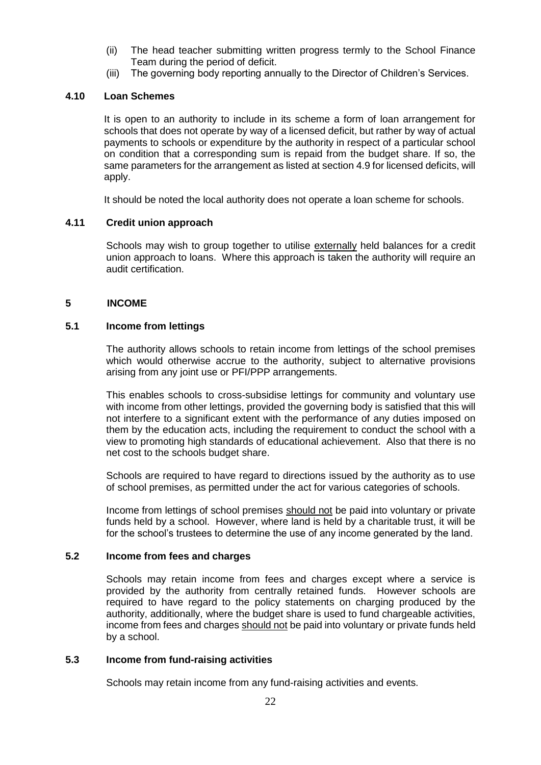- (ii) The head teacher submitting written progress termly to the School Finance Team during the period of deficit.
- (iii) The governing body reporting annually to the Director of Children's Services.

# **4.10 Loan Schemes**

It is open to an authority to include in its scheme a form of loan arrangement for schools that does not operate by way of a licensed deficit, but rather by way of actual payments to schools or expenditure by the authority in respect of a particular school on condition that a corresponding sum is repaid from the budget share. If so, the same parameters for the arrangement as listed at section 4.9 for licensed deficits, will apply.

It should be noted the local authority does not operate a loan scheme for schools.

#### **4.11 Credit union approach**

Schools may wish to group together to utilise externally held balances for a credit union approach to loans. Where this approach is taken the authority will require an audit certification.

#### **5 INCOME**

#### **5.1 Income from lettings**

The authority allows schools to retain income from lettings of the school premises which would otherwise accrue to the authority, subject to alternative provisions arising from any joint use or PFI/PPP arrangements.

This enables schools to cross-subsidise lettings for community and voluntary use with income from other lettings, provided the governing body is satisfied that this will not interfere to a significant extent with the performance of any duties imposed on them by the education acts, including the requirement to conduct the school with a view to promoting high standards of educational achievement. Also that there is no net cost to the schools budget share.

Schools are required to have regard to directions issued by the authority as to use of school premises, as permitted under the act for various categories of schools.

Income from lettings of school premises should not be paid into voluntary or private funds held by a school. However, where land is held by a charitable trust, it will be for the school's trustees to determine the use of any income generated by the land.

#### **5.2 Income from fees and charges**

Schools may retain income from fees and charges except where a service is provided by the authority from centrally retained funds. However schools are required to have regard to the policy statements on charging produced by the authority, additionally, where the budget share is used to fund chargeable activities, income from fees and charges should not be paid into voluntary or private funds held by a school.

# **5.3 Income from fund-raising activities**

Schools may retain income from any fund-raising activities and events.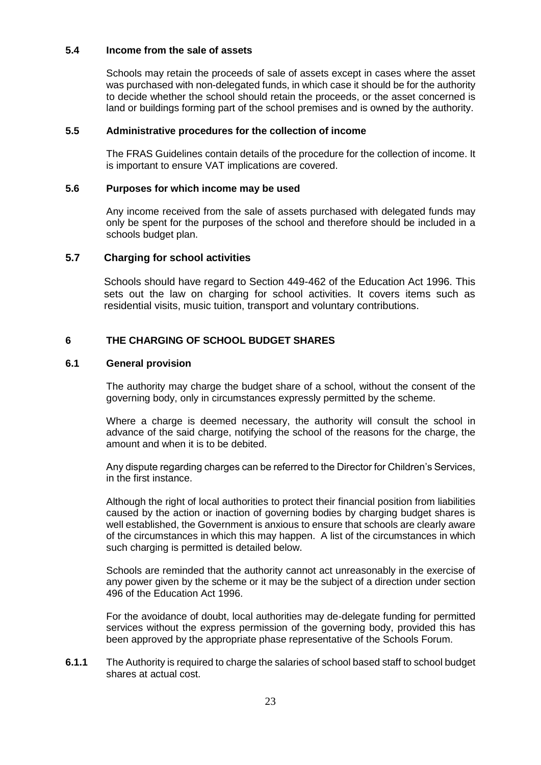#### **5.4 Income from the sale of assets**

Schools may retain the proceeds of sale of assets except in cases where the asset was purchased with non-delegated funds, in which case it should be for the authority to decide whether the school should retain the proceeds, or the asset concerned is land or buildings forming part of the school premises and is owned by the authority.

#### **5.5 Administrative procedures for the collection of income**

The FRAS Guidelines contain details of the procedure for the collection of income. It is important to ensure VAT implications are covered.

#### **5.6 Purposes for which income may be used**

Any income received from the sale of assets purchased with delegated funds may only be spent for the purposes of the school and therefore should be included in a schools budget plan.

#### **5.7 Charging for school activities**

Schools should have regard to Section 449-462 of the Education Act 1996. This sets out the law on charging for school activities. It covers items such as residential visits, music tuition, transport and voluntary contributions.

# **6 THE CHARGING OF SCHOOL BUDGET SHARES**

#### **6.1 General provision**

The authority may charge the budget share of a school, without the consent of the governing body, only in circumstances expressly permitted by the scheme.

Where a charge is deemed necessary, the authority will consult the school in advance of the said charge, notifying the school of the reasons for the charge, the amount and when it is to be debited.

Any dispute regarding charges can be referred to the Director for Children's Services, in the first instance.

Although the right of local authorities to protect their financial position from liabilities caused by the action or inaction of governing bodies by charging budget shares is well established, the Government is anxious to ensure that schools are clearly aware of the circumstances in which this may happen. A list of the circumstances in which such charging is permitted is detailed below.

Schools are reminded that the authority cannot act unreasonably in the exercise of any power given by the scheme or it may be the subject of a direction under section 496 of the Education Act 1996.

For the avoidance of doubt, local authorities may de-delegate funding for permitted services without the express permission of the governing body, provided this has been approved by the appropriate phase representative of the Schools Forum.

**6.1.1** The Authority is required to charge the salaries of school based staff to school budget shares at actual cost.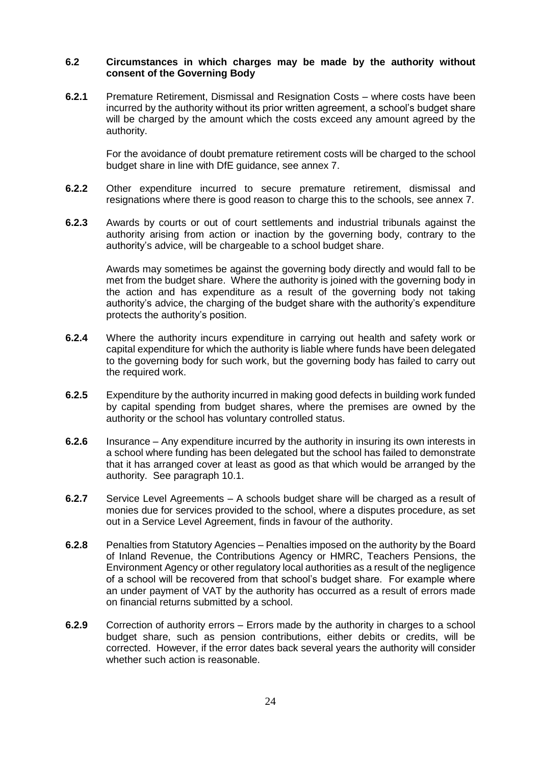#### **6.2 Circumstances in which charges may be made by the authority without consent of the Governing Body**

**6.2.1** Premature Retirement, Dismissal and Resignation Costs *–* where costs have been incurred by the authority without its prior written agreement, a school's budget share will be charged by the amount which the costs exceed any amount agreed by the authority.

For the avoidance of doubt premature retirement costs will be charged to the school budget share in line with DfE guidance, see annex 7.

- **6.2.2** Other expenditure incurred to secure premature retirement, dismissal and resignations where there is good reason to charge this to the schools, see annex 7.
- **6.2.3** Awards by courts or out of court settlements and industrial tribunals against the authority arising from action or inaction by the governing body, contrary to the authority's advice, will be chargeable to a school budget share.

Awards may sometimes be against the governing body directly and would fall to be met from the budget share. Where the authority is joined with the governing body in the action and has expenditure as a result of the governing body not taking authority's advice, the charging of the budget share with the authority's expenditure protects the authority's position.

- **6.2.4** Where the authority incurs expenditure in carrying out health and safety work or capital expenditure for which the authority is liable where funds have been delegated to the governing body for such work, but the governing body has failed to carry out the required work.
- **6.2.5** Expenditure by the authority incurred in making good defects in building work funded by capital spending from budget shares, where the premises are owned by the authority or the school has voluntary controlled status.
- **6.2.6** Insurance *–* Any expenditure incurred by the authority in insuring its own interests in a school where funding has been delegated but the school has failed to demonstrate that it has arranged cover at least as good as that which would be arranged by the authority. See paragraph 10.1.
- **6.2.7** Service Level Agreements *–* A schools budget share will be charged as a result of monies due for services provided to the school, where a disputes procedure, as set out in a Service Level Agreement, finds in favour of the authority.
- **6.2.8** Penalties from Statutory Agencies *–* Penalties imposed on the authority by the Board of Inland Revenue, the Contributions Agency or HMRC, Teachers Pensions, the Environment Agency or other regulatory local authorities as a result of the negligence of a school will be recovered from that school's budget share. For example where an under payment of VAT by the authority has occurred as a result of errors made on financial returns submitted by a school.
- **6.2.9** Correction of authority errors *–* Errors made by the authority in charges to a school budget share, such as pension contributions, either debits or credits, will be corrected. However, if the error dates back several years the authority will consider whether such action is reasonable.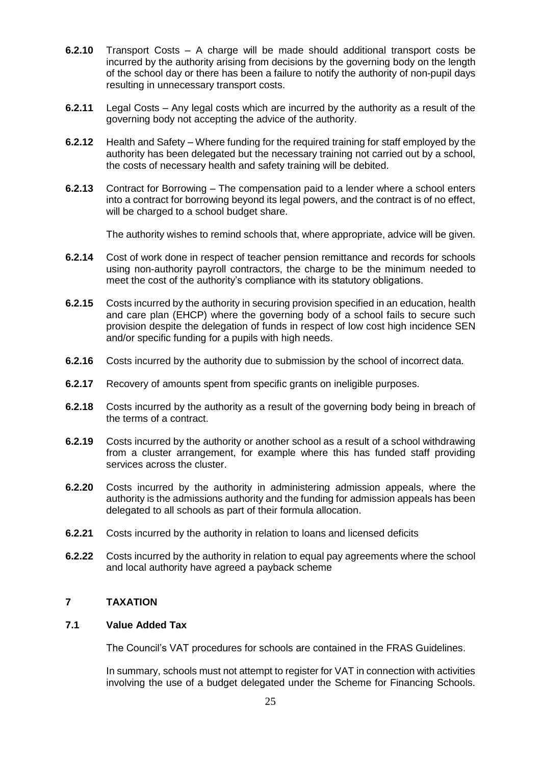- **6.2.10** Transport Costs *–* A charge will be made should additional transport costs be incurred by the authority arising from decisions by the governing body on the length of the school day or there has been a failure to notify the authority of non-pupil days resulting in unnecessary transport costs.
- **6.2.11** Legal Costs Any legal costs which are incurred by the authority as a result of the governing body not accepting the advice of the authority.
- **6.2.12** Health and Safety *–* Where funding for the required training for staff employed by the authority has been delegated but the necessary training not carried out by a school, the costs of necessary health and safety training will be debited.
- **6.2.13** Contract for Borrowing The compensation paid to a lender where a school enters into a contract for borrowing beyond its legal powers, and the contract is of no effect, will be charged to a school budget share.

The authority wishes to remind schools that, where appropriate, advice will be given.

- **6.2.14** Cost of work done in respect of teacher pension remittance and records for schools using non-authority payroll contractors, the charge to be the minimum needed to meet the cost of the authority's compliance with its statutory obligations.
- **6.2.15** Costs incurred by the authority in securing provision specified in an education, health and care plan (EHCP) where the governing body of a school fails to secure such provision despite the delegation of funds in respect of low cost high incidence SEN and/or specific funding for a pupils with high needs.
- **6.2.16** Costs incurred by the authority due to submission by the school of incorrect data.
- **6.2.17** Recovery of amounts spent from specific grants on ineligible purposes.
- **6.2.18** Costs incurred by the authority as a result of the governing body being in breach of the terms of a contract.
- **6.2.19** Costs incurred by the authority or another school as a result of a school withdrawing from a cluster arrangement, for example where this has funded staff providing services across the cluster.
- **6.2.20** Costs incurred by the authority in administering admission appeals, where the authority is the admissions authority and the funding for admission appeals has been delegated to all schools as part of their formula allocation.
- **6.2.21** Costs incurred by the authority in relation to loans and licensed deficits
- **6.2.22** Costs incurred by the authority in relation to equal pay agreements where the school and local authority have agreed a payback scheme

# **7 TAXATION**

# **7.1 Value Added Tax**

The Council's VAT procedures for schools are contained in the FRAS Guidelines.

In summary, schools must not attempt to register for VAT in connection with activities involving the use of a budget delegated under the Scheme for Financing Schools.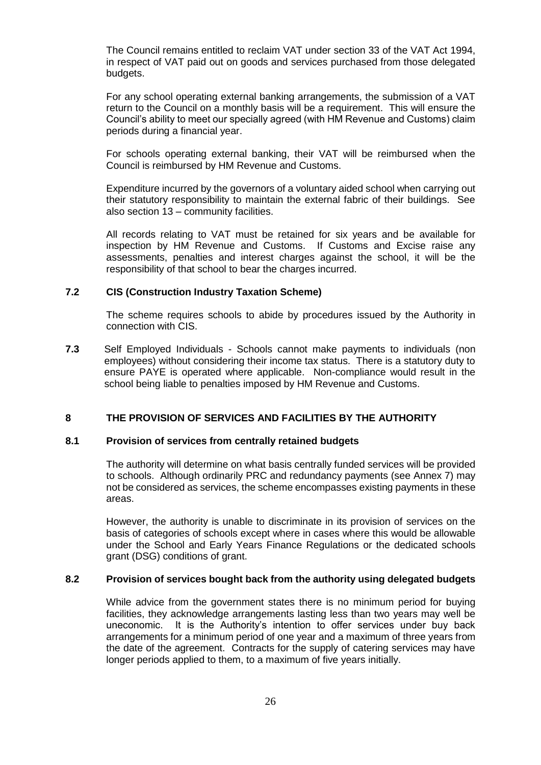The Council remains entitled to reclaim VAT under section 33 of the VAT Act 1994, in respect of VAT paid out on goods and services purchased from those delegated budgets.

For any school operating external banking arrangements, the submission of a VAT return to the Council on a monthly basis will be a requirement. This will ensure the Council's ability to meet our specially agreed (with HM Revenue and Customs) claim periods during a financial year.

For schools operating external banking, their VAT will be reimbursed when the Council is reimbursed by HM Revenue and Customs.

Expenditure incurred by the governors of a voluntary aided school when carrying out their statutory responsibility to maintain the external fabric of their buildings. See also section 13 – community facilities.

All records relating to VAT must be retained for six years and be available for inspection by HM Revenue and Customs. If Customs and Excise raise any assessments, penalties and interest charges against the school, it will be the responsibility of that school to bear the charges incurred.

#### **7.2 CIS (Construction Industry Taxation Scheme)**

The scheme requires schools to abide by procedures issued by the Authority in connection with CIS.

**7.3** Self Employed Individuals - Schools cannot make payments to individuals (non employees) without considering their income tax status. There is a statutory duty to ensure PAYE is operated where applicable. Non-compliance would result in the school being liable to penalties imposed by HM Revenue and Customs.

# **8 THE PROVISION OF SERVICES AND FACILITIES BY THE AUTHORITY**

#### **8.1 Provision of services from centrally retained budgets**

The authority will determine on what basis centrally funded services will be provided to schools. Although ordinarily PRC and redundancy payments (see Annex 7) may not be considered as services, the scheme encompasses existing payments in these areas.

However, the authority is unable to discriminate in its provision of services on the basis of categories of schools except where in cases where this would be allowable under the School and Early Years Finance Regulations or the dedicated schools grant (DSG) conditions of grant.

#### **8.2 Provision of services bought back from the authority using delegated budgets**

While advice from the government states there is no minimum period for buying facilities, they acknowledge arrangements lasting less than two years may well be uneconomic. It is the Authority's intention to offer services under buy back arrangements for a minimum period of one year and a maximum of three years from the date of the agreement. Contracts for the supply of catering services may have longer periods applied to them, to a maximum of five years initially.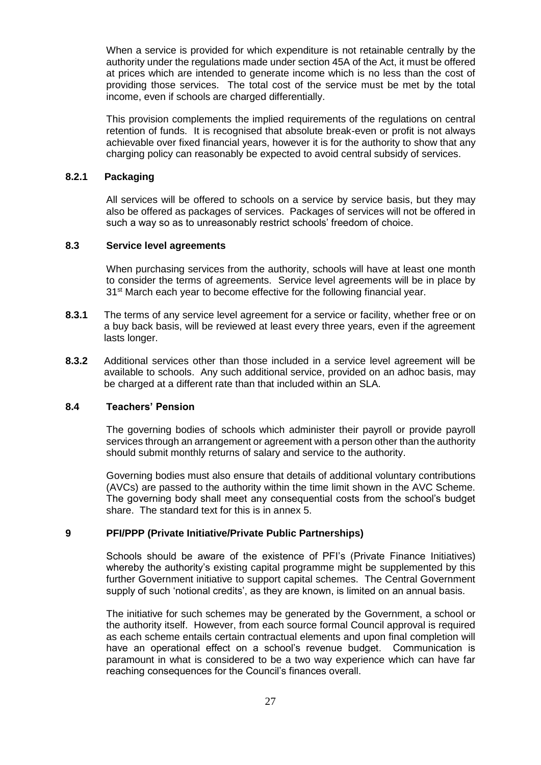When a service is provided for which expenditure is not retainable centrally by the authority under the regulations made under section 45A of the Act, it must be offered at prices which are intended to generate income which is no less than the cost of providing those services. The total cost of the service must be met by the total income, even if schools are charged differentially.

This provision complements the implied requirements of the regulations on central retention of funds. It is recognised that absolute break-even or profit is not always achievable over fixed financial years, however it is for the authority to show that any charging policy can reasonably be expected to avoid central subsidy of services.

#### **8.2.1 Packaging**

All services will be offered to schools on a service by service basis, but they may also be offered as packages of services. Packages of services will not be offered in such a way so as to unreasonably restrict schools' freedom of choice.

#### **8.3 Service level agreements**

When purchasing services from the authority, schools will have at least one month to consider the terms of agreements. Service level agreements will be in place by 31<sup>st</sup> March each year to become effective for the following financial year.

- **8.3.1** The terms of any service level agreement for a service or facility, whether free or on a buy back basis, will be reviewed at least every three years, even if the agreement lasts longer.
- **8.3.2** Additional services other than those included in a service level agreement will be available to schools. Any such additional service, provided on an adhoc basis, may be charged at a different rate than that included within an SLA.

#### **8.4 Teachers' Pension**

The governing bodies of schools which administer their payroll or provide payroll services through an arrangement or agreement with a person other than the authority should submit monthly returns of salary and service to the authority.

Governing bodies must also ensure that details of additional voluntary contributions (AVCs) are passed to the authority within the time limit shown in the AVC Scheme. The governing body shall meet any consequential costs from the school's budget share. The standard text for this is in annex 5.

#### **9 PFI/PPP (Private Initiative/Private Public Partnerships)**

Schools should be aware of the existence of PFI's (Private Finance Initiatives) whereby the authority's existing capital programme might be supplemented by this further Government initiative to support capital schemes. The Central Government supply of such 'notional credits', as they are known, is limited on an annual basis.

The initiative for such schemes may be generated by the Government, a school or the authority itself. However, from each source formal Council approval is required as each scheme entails certain contractual elements and upon final completion will have an operational effect on a school's revenue budget. Communication is paramount in what is considered to be a two way experience which can have far reaching consequences for the Council's finances overall.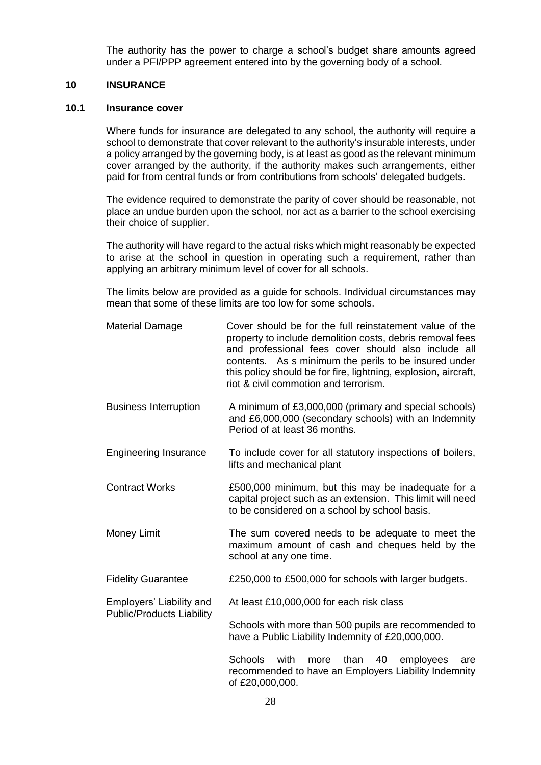The authority has the power to charge a school's budget share amounts agreed under a PFI/PPP agreement entered into by the governing body of a school.

#### **10 INSURANCE**

#### **10.1 Insurance cover**

Where funds for insurance are delegated to any school, the authority will require a school to demonstrate that cover relevant to the authority's insurable interests, under a policy arranged by the governing body, is at least as good as the relevant minimum cover arranged by the authority, if the authority makes such arrangements, either paid for from central funds or from contributions from schools' delegated budgets.

The evidence required to demonstrate the parity of cover should be reasonable, not place an undue burden upon the school, nor act as a barrier to the school exercising their choice of supplier.

The authority will have regard to the actual risks which might reasonably be expected to arise at the school in question in operating such a requirement, rather than applying an arbitrary minimum level of cover for all schools.

The limits below are provided as a guide for schools. Individual circumstances may mean that some of these limits are too low for some schools.

- Material Damage Cover should be for the full reinstatement value of the property to include demolition costs, debris removal fees and professional fees cover should also include all contents. As s minimum the perils to be insured under this policy should be for fire, lightning, explosion, aircraft, riot & civil commotion and terrorism.
- Business Interruption A minimum of £3,000,000 (primary and special schools) and £6,000,000 (secondary schools) with an Indemnity Period of at least 36 months.
- Engineering Insurance To include cover for all statutory inspections of boilers, lifts and mechanical plant
- Contract Works £500,000 minimum, but this may be inadequate for a capital project such as an extension. This limit will need to be considered on a school by school basis.
- Money Limit The sum covered needs to be adequate to meet the maximum amount of cash and cheques held by the school at any one time.
- Fidelity Guarantee £250,000 to £500,000 for schools with larger budgets.

Employers' Liability and At least £10,000,000 for each risk class Public/Products Liability

> Schools with more than 500 pupils are recommended to have a Public Liability Indemnity of £20,000,000.

Schools with more than 40 employees are recommended to have an Employers Liability Indemnity of £20,000,000.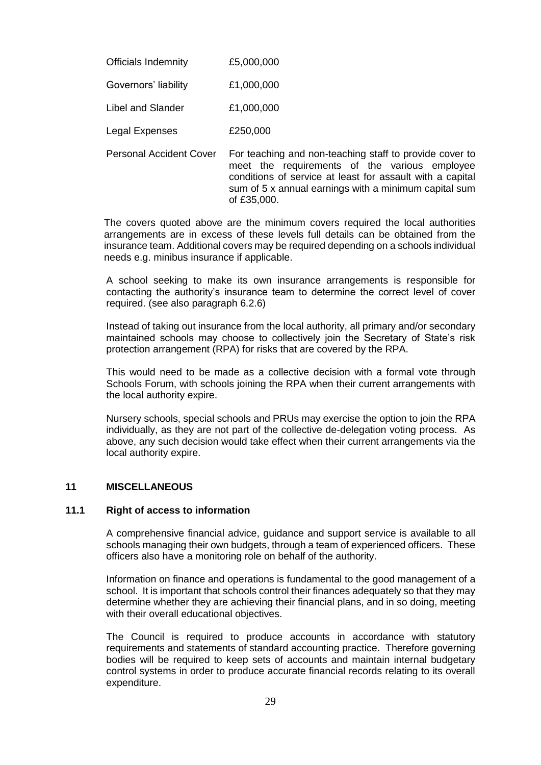| <b>Officials Indemnity</b> | £5,000,000 |
|----------------------------|------------|
| Governors' liability       | £1,000,000 |

Libel and Slander £1,000,000

Legal Expenses £250,000

Personal Accident Cover For teaching and non-teaching staff to provide cover to meet the requirements of the various employee conditions of service at least for assault with a capital sum of 5 x annual earnings with a minimum capital sum of £35,000.

The covers quoted above are the minimum covers required the local authorities arrangements are in excess of these levels full details can be obtained from the insurance team. Additional covers may be required depending on a schools individual needs e.g. minibus insurance if applicable.

A school seeking to make its own insurance arrangements is responsible for contacting the authority's insurance team to determine the correct level of cover required. (see also paragraph 6.2.6)

Instead of taking out insurance from the local authority, all primary and/or secondary maintained schools may choose to collectively join the Secretary of State's risk protection arrangement (RPA) for risks that are covered by the RPA.

This would need to be made as a collective decision with a formal vote through Schools Forum, with schools joining the RPA when their current arrangements with the local authority expire.

Nursery schools, special schools and PRUs may exercise the option to join the RPA individually, as they are not part of the collective de-delegation voting process. As above, any such decision would take effect when their current arrangements via the local authority expire.

# **11 MISCELLANEOUS**

# **11.1 Right of access to information**

A comprehensive financial advice, guidance and support service is available to all schools managing their own budgets, through a team of experienced officers. These officers also have a monitoring role on behalf of the authority.

Information on finance and operations is fundamental to the good management of a school. It is important that schools control their finances adequately so that they may determine whether they are achieving their financial plans, and in so doing, meeting with their overall educational objectives.

The Council is required to produce accounts in accordance with statutory requirements and statements of standard accounting practice. Therefore governing bodies will be required to keep sets of accounts and maintain internal budgetary control systems in order to produce accurate financial records relating to its overall expenditure.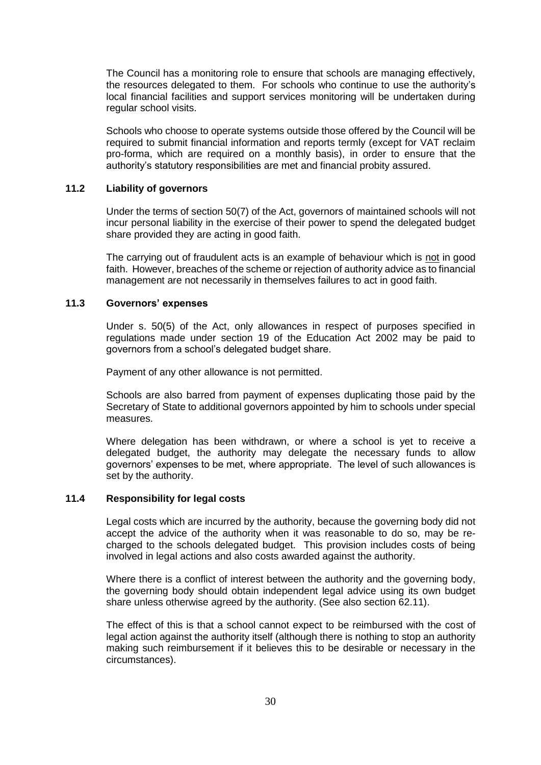The Council has a monitoring role to ensure that schools are managing effectively, the resources delegated to them. For schools who continue to use the authority's local financial facilities and support services monitoring will be undertaken during regular school visits.

Schools who choose to operate systems outside those offered by the Council will be required to submit financial information and reports termly (except for VAT reclaim pro-forma, which are required on a monthly basis), in order to ensure that the authority's statutory responsibilities are met and financial probity assured.

## **11.2 Liability of governors**

Under the terms of section 50(7) of the Act, governors of maintained schools will not incur personal liability in the exercise of their power to spend the delegated budget share provided they are acting in good faith.

The carrying out of fraudulent acts is an example of behaviour which is not in good faith. However, breaches of the scheme or rejection of authority advice as to financial management are not necessarily in themselves failures to act in good faith.

# **11.3 Governors' expenses**

Under s. 50(5) of the Act, only allowances in respect of purposes specified in regulations made under section 19 of the Education Act 2002 may be paid to governors from a school's delegated budget share.

Payment of any other allowance is not permitted.

Schools are also barred from payment of expenses duplicating those paid by the Secretary of State to additional governors appointed by him to schools under special measures.

Where delegation has been withdrawn, or where a school is yet to receive a delegated budget, the authority may delegate the necessary funds to allow governors' expenses to be met, where appropriate. The level of such allowances is set by the authority.

#### **11.4 Responsibility for legal costs**

Legal costs which are incurred by the authority, because the governing body did not accept the advice of the authority when it was reasonable to do so, may be recharged to the schools delegated budget. This provision includes costs of being involved in legal actions and also costs awarded against the authority.

Where there is a conflict of interest between the authority and the governing body, the governing body should obtain independent legal advice using its own budget share unless otherwise agreed by the authority. (See also section 62.11).

The effect of this is that a school cannot expect to be reimbursed with the cost of legal action against the authority itself (although there is nothing to stop an authority making such reimbursement if it believes this to be desirable or necessary in the circumstances).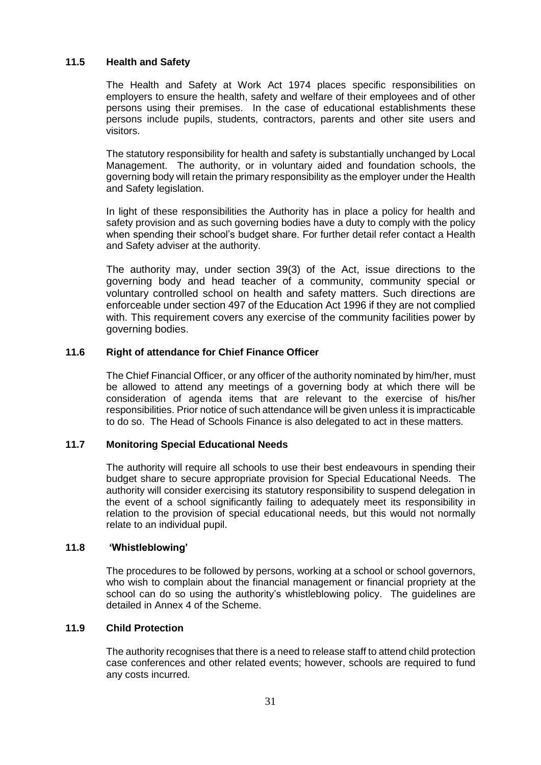# **11.5 Health and Safety**

The Health and Safety at Work Act 1974 places specific responsibilities on employers to ensure the health, safety and welfare of their employees and of other persons using their premises. In the case of educational establishments these persons include pupils, students, contractors, parents and other site users and visitors.

The statutory responsibility for health and safety is substantially unchanged by Local Management. The authority, or in voluntary aided and foundation schools, the governing body will retain the primary responsibility as the employer under the Health and Safety legislation.

In light of these responsibilities the Authority has in place a policy for health and safety provision and as such governing bodies have a duty to comply with the policy when spending their school's budget share. For further detail refer contact a Health and Safety adviser at the authority.

The authority may, under section 39(3) of the Act, issue directions to the governing body and head teacher of a community, community special or voluntary controlled school on health and safety matters. Such directions are enforceable under section 497 of the Education Act 1996 if they are not complied with. This requirement covers any exercise of the community facilities power by governing bodies.

#### **11.6 Right of attendance for Chief Finance Officer**

The Chief Financial Officer, or any officer of the authority nominated by him/her, must be allowed to attend any meetings of a governing body at which there will be consideration of agenda items that are relevant to the exercise of his/her responsibilities. Prior notice of such attendance will be given unless it is impracticable to do so. The Head of Schools Finance is also delegated to act in these matters.

#### **11.7 Monitoring Special Educational Needs**

The authority will require all schools to use their best endeavours in spending their budget share to secure appropriate provision for Special Educational Needs. The authority will consider exercising its statutory responsibility to suspend delegation in the event of a school significantly failing to adequately meet its responsibility in relation to the provision of special educational needs, but this would not normally relate to an individual pupil.

#### **11.8 'Whistleblowing'**

The procedures to be followed by persons, working at a school or school governors, who wish to complain about the financial management or financial propriety at the school can do so using the authority's whistleblowing policy. The guidelines are detailed in Annex 4 of the Scheme.

#### **11.9 Child Protection**

The authority recognises that there is a need to release staff to attend child protection case conferences and other related events; however, schools are required to fund any costs incurred.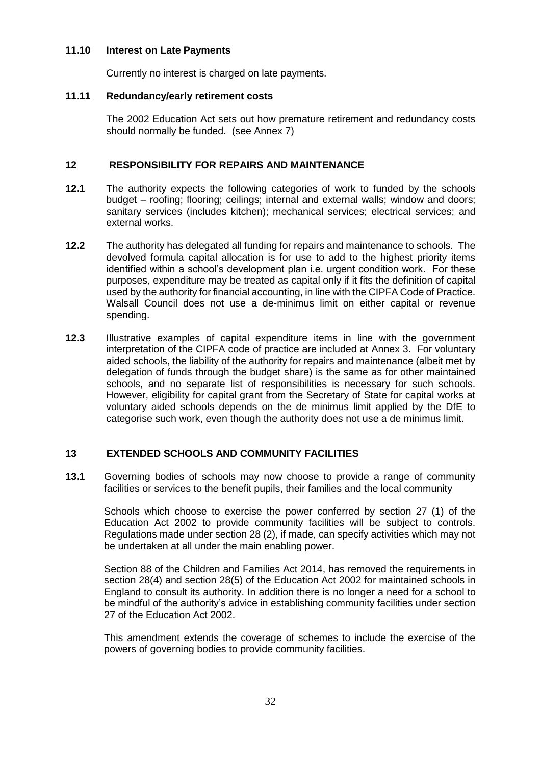#### **11.10 Interest on Late Payments**

Currently no interest is charged on late payments.

#### **11.11 Redundancy/early retirement costs**

The 2002 Education Act sets out how premature retirement and redundancy costs should normally be funded. (see Annex 7)

# **12 RESPONSIBILITY FOR REPAIRS AND MAINTENANCE**

- **12.1** The authority expects the following categories of work to funded by the schools budget – roofing; flooring; ceilings; internal and external walls; window and doors; sanitary services (includes kitchen); mechanical services; electrical services; and external works.
- **12.2** The authority has delegated all funding for repairs and maintenance to schools. The devolved formula capital allocation is for use to add to the highest priority items identified within a school's development plan i.e. urgent condition work. For these purposes, expenditure may be treated as capital only if it fits the definition of capital used by the authority for financial accounting, in line with the CIPFA Code of Practice. Walsall Council does not use a de-minimus limit on either capital or revenue spending.
- **12.3** Illustrative examples of capital expenditure items in line with the government interpretation of the CIPFA code of practice are included at Annex 3. For voluntary aided schools, the liability of the authority for repairs and maintenance (albeit met by delegation of funds through the budget share) is the same as for other maintained schools, and no separate list of responsibilities is necessary for such schools. However, eligibility for capital grant from the Secretary of State for capital works at voluntary aided schools depends on the de minimus limit applied by the DfE to categorise such work, even though the authority does not use a de minimus limit.

# **13 EXTENDED SCHOOLS AND COMMUNITY FACILITIES**

**13.1** Governing bodies of schools may now choose to provide a range of community facilities or services to the benefit pupils, their families and the local community

Schools which choose to exercise the power conferred by section 27 (1) of the Education Act 2002 to provide community facilities will be subject to controls. Regulations made under section 28 (2), if made, can specify activities which may not be undertaken at all under the main enabling power.

Section 88 of the Children and Families Act 2014, has removed the requirements in section 28(4) and section 28(5) of the Education Act 2002 for maintained schools in England to consult its authority. In addition there is no longer a need for a school to be mindful of the authority's advice in establishing community facilities under section 27 of the Education Act 2002.

This amendment extends the coverage of schemes to include the exercise of the powers of governing bodies to provide community facilities.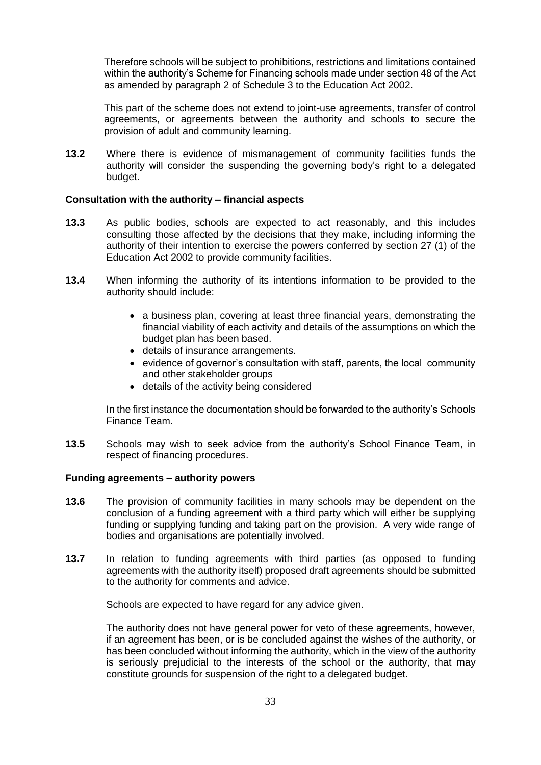Therefore schools will be subject to prohibitions, restrictions and limitations contained within the authority's Scheme for Financing schools made under section 48 of the Act as amended by paragraph 2 of Schedule 3 to the Education Act 2002.

This part of the scheme does not extend to joint-use agreements, transfer of control agreements, or agreements between the authority and schools to secure the provision of adult and community learning.

**13.2** Where there is evidence of mismanagement of community facilities funds the authority will consider the suspending the governing body's right to a delegated budget.

#### **Consultation with the authority – financial aspects**

- **13.3** As public bodies, schools are expected to act reasonably, and this includes consulting those affected by the decisions that they make, including informing the authority of their intention to exercise the powers conferred by section 27 (1) of the Education Act 2002 to provide community facilities.
- **13.4** When informing the authority of its intentions information to be provided to the authority should include:
	- a business plan, covering at least three financial years, demonstrating the financial viability of each activity and details of the assumptions on which the budget plan has been based.
	- details of insurance arrangements.
	- evidence of governor's consultation with staff, parents, the local community and other stakeholder groups
	- details of the activity being considered

In the first instance the documentation should be forwarded to the authority's Schools Finance Team.

**13.5** Schools may wish to seek advice from the authority's School Finance Team, in respect of financing procedures.

#### **Funding agreements – authority powers**

- **13.6** The provision of community facilities in many schools may be dependent on the conclusion of a funding agreement with a third party which will either be supplying funding or supplying funding and taking part on the provision. A very wide range of bodies and organisations are potentially involved.
- **13.7** In relation to funding agreements with third parties (as opposed to funding agreements with the authority itself) proposed draft agreements should be submitted to the authority for comments and advice.

Schools are expected to have regard for any advice given.

The authority does not have general power for veto of these agreements, however, if an agreement has been, or is be concluded against the wishes of the authority, or has been concluded without informing the authority, which in the view of the authority is seriously prejudicial to the interests of the school or the authority, that may constitute grounds for suspension of the right to a delegated budget.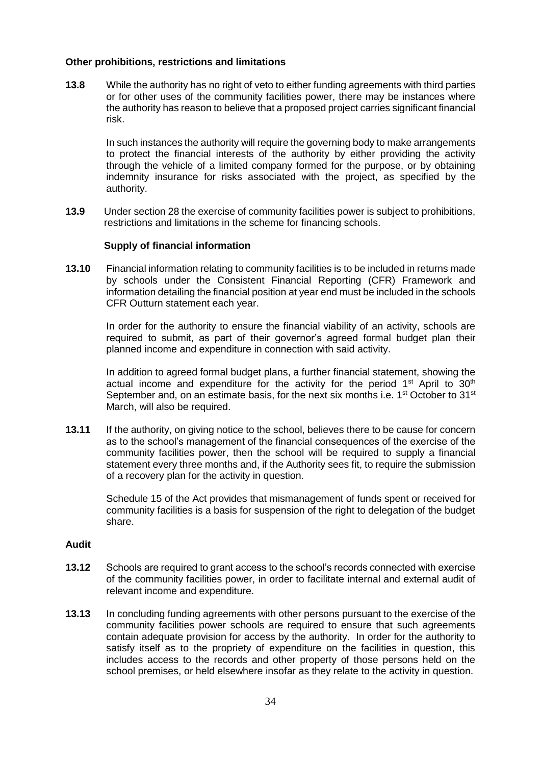#### **Other prohibitions, restrictions and limitations**

**13.8** While the authority has no right of veto to either funding agreements with third parties or for other uses of the community facilities power, there may be instances where the authority has reason to believe that a proposed project carries significant financial risk.

In such instances the authority will require the governing body to make arrangements to protect the financial interests of the authority by either providing the activity through the vehicle of a limited company formed for the purpose, or by obtaining indemnity insurance for risks associated with the project, as specified by the authority.

**13.9** Under section 28 the exercise of community facilities power is subject to prohibitions, restrictions and limitations in the scheme for financing schools.

#### **Supply of financial information**

**13.10** Financial information relating to community facilities is to be included in returns made by schools under the Consistent Financial Reporting (CFR) Framework and information detailing the financial position at year end must be included in the schools CFR Outturn statement each year.

In order for the authority to ensure the financial viability of an activity, schools are required to submit, as part of their governor's agreed formal budget plan their planned income and expenditure in connection with said activity.

In addition to agreed formal budget plans, a further financial statement, showing the actual income and expenditure for the activity for the period  $1<sup>st</sup>$  April to  $30<sup>th</sup>$ September and, on an estimate basis, for the next six months i.e.  $1<sup>st</sup>$  October to  $31<sup>st</sup>$ March, will also be required.

**13.11** If the authority, on giving notice to the school, believes there to be cause for concern as to the school's management of the financial consequences of the exercise of the community facilities power, then the school will be required to supply a financial statement every three months and, if the Authority sees fit, to require the submission of a recovery plan for the activity in question.

Schedule 15 of the Act provides that mismanagement of funds spent or received for community facilities is a basis for suspension of the right to delegation of the budget share.

#### **Audit**

- **13.12** Schools are required to grant access to the school's records connected with exercise of the community facilities power, in order to facilitate internal and external audit of relevant income and expenditure.
- **13.13** In concluding funding agreements with other persons pursuant to the exercise of the community facilities power schools are required to ensure that such agreements contain adequate provision for access by the authority. In order for the authority to satisfy itself as to the propriety of expenditure on the facilities in question, this includes access to the records and other property of those persons held on the school premises, or held elsewhere insofar as they relate to the activity in question.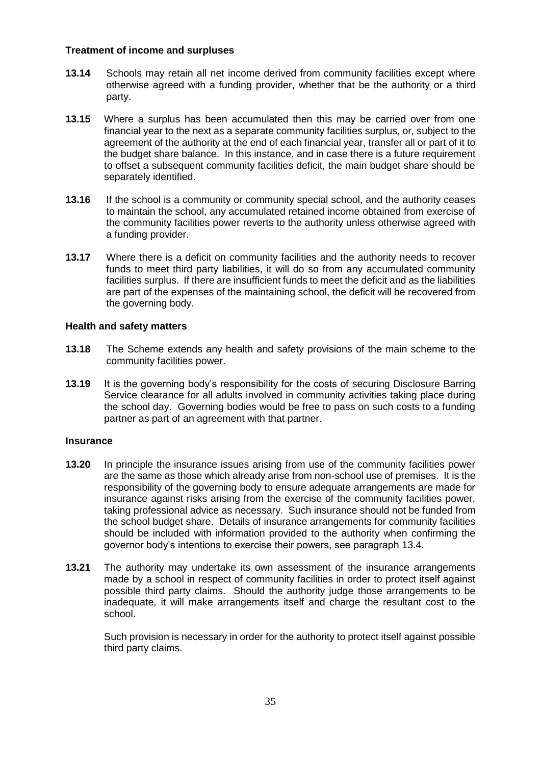#### **Treatment of income and surpluses**

- **13.14** Schools may retain all net income derived from community facilities except where otherwise agreed with a funding provider, whether that be the authority or a third party.
- **13.15** Where a surplus has been accumulated then this may be carried over from one financial year to the next as a separate community facilities surplus, or, subject to the agreement of the authority at the end of each financial year, transfer all or part of it to the budget share balance. In this instance, and in case there is a future requirement to offset a subsequent community facilities deficit, the main budget share should be separately identified.
- **13.16** If the school is a community or community special school, and the authority ceases to maintain the school, any accumulated retained income obtained from exercise of the community facilities power reverts to the authority unless otherwise agreed with a funding provider.
- **13.17** Where there is a deficit on community facilities and the authority needs to recover funds to meet third party liabilities, it will do so from any accumulated community facilities surplus. If there are insufficient funds to meet the deficit and as the liabilities are part of the expenses of the maintaining school, the deficit will be recovered from the governing body.

# **Health and safety matters**

- **13.18** The Scheme extends any health and safety provisions of the main scheme to the community facilities power.
- **13.19** It is the governing body's responsibility for the costs of securing Disclosure Barring Service clearance for all adults involved in community activities taking place during the school day. Governing bodies would be free to pass on such costs to a funding partner as part of an agreement with that partner.

# **Insurance**

- **13.20** In principle the insurance issues arising from use of the community facilities power are the same as those which already arise from non-school use of premises. It is the responsibility of the governing body to ensure adequate arrangements are made for insurance against risks arising from the exercise of the community facilities power, taking professional advice as necessary. Such insurance should not be funded from the school budget share. Details of insurance arrangements for community facilities should be included with information provided to the authority when confirming the governor body's intentions to exercise their powers, see paragraph 13.4.
- **13.21** The authority may undertake its own assessment of the insurance arrangements made by a school in respect of community facilities in order to protect itself against possible third party claims. Should the authority judge those arrangements to be inadequate, it will make arrangements itself and charge the resultant cost to the school.

Such provision is necessary in order for the authority to protect itself against possible third party claims.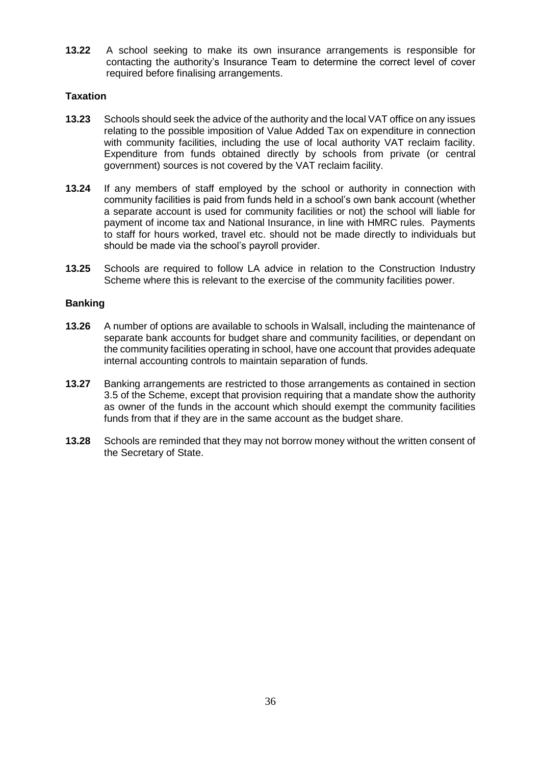**13.22** A school seeking to make its own insurance arrangements is responsible for contacting the authority's Insurance Team to determine the correct level of cover required before finalising arrangements.

# **Taxation**

- **13.23** Schools should seek the advice of the authority and the local VAT office on any issues relating to the possible imposition of Value Added Tax on expenditure in connection with community facilities, including the use of local authority VAT reclaim facility. Expenditure from funds obtained directly by schools from private (or central government) sources is not covered by the VAT reclaim facility.
- **13.24** If any members of staff employed by the school or authority in connection with community facilities is paid from funds held in a school's own bank account (whether a separate account is used for community facilities or not) the school will liable for payment of income tax and National Insurance, in line with HMRC rules. Payments to staff for hours worked, travel etc. should not be made directly to individuals but should be made via the school's payroll provider.
- **13.25** Schools are required to follow LA advice in relation to the Construction Industry Scheme where this is relevant to the exercise of the community facilities power.

# **Banking**

- **13.26** A number of options are available to schools in Walsall, including the maintenance of separate bank accounts for budget share and community facilities, or dependant on the community facilities operating in school, have one account that provides adequate internal accounting controls to maintain separation of funds.
- **13.27** Banking arrangements are restricted to those arrangements as contained in section 3.5 of the Scheme, except that provision requiring that a mandate show the authority as owner of the funds in the account which should exempt the community facilities funds from that if they are in the same account as the budget share.
- **13.28** Schools are reminded that they may not borrow money without the written consent of the Secretary of State.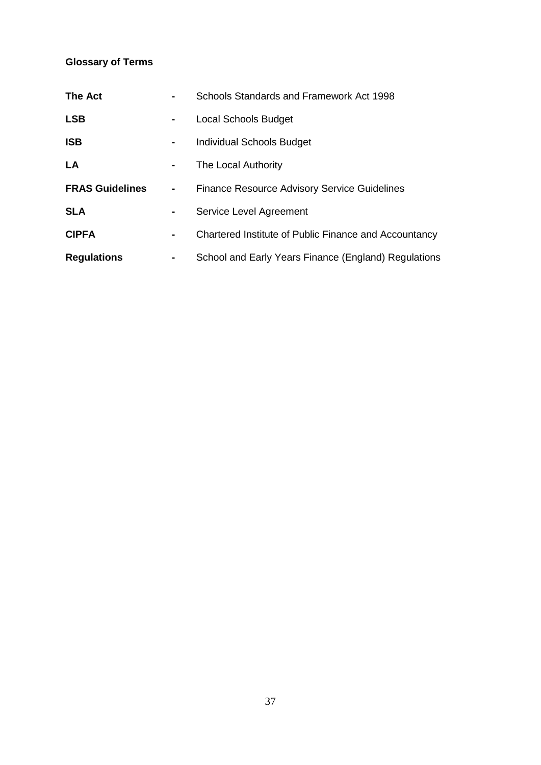# **Glossary of Terms**

| <b>The Act</b>         |   | Schools Standards and Framework Act 1998              |
|------------------------|---|-------------------------------------------------------|
| <b>LSB</b>             | ۰ | <b>Local Schools Budget</b>                           |
| <b>ISB</b>             | ٠ | Individual Schools Budget                             |
| LA                     | ۰ | The Local Authority                                   |
| <b>FRAS Guidelines</b> |   | <b>Finance Resource Advisory Service Guidelines</b>   |
| <b>SLA</b>             | ۰ | Service Level Agreement                               |
| <b>CIPFA</b>           | ۰ | Chartered Institute of Public Finance and Accountancy |
| <b>Regulations</b>     | ٠ | School and Early Years Finance (England) Regulations  |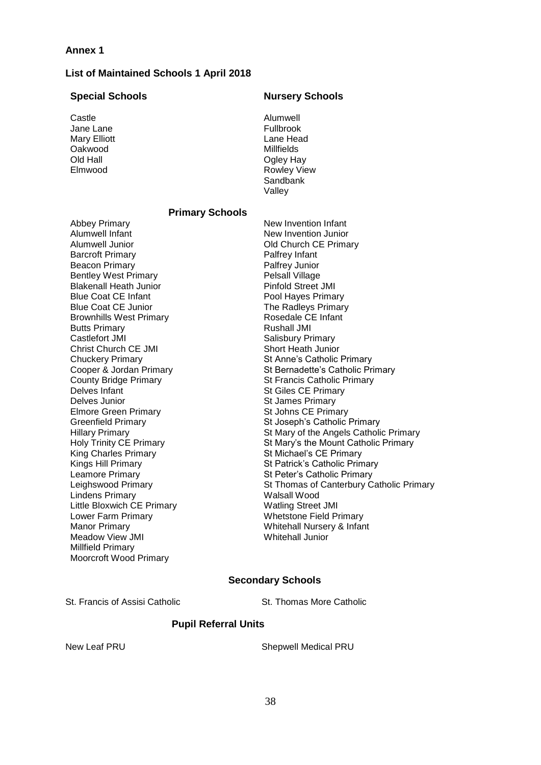#### **List of Maintained Schools 1 April 2018**

#### **Special Schools Nursery Schools**

Castle Jane Lane Mary Elliott Oakwood Old Hall Elmwood

Alumwell Fullbrook Lane Head Millfields Ogley Hay Rowley View **Sandbank** Valley

#### **Primary Schools**

Abbey Primary Alumwell Infant Alumwell Junior Barcroft Primary Beacon Primary Bentley West Primary Blakenall Heath Junior Blue Coat CE Infant Blue Coat CE Junior Brownhills West Primary Butts Primary Castlefort JMI Christ Church CE JMI Chuckery Primary Cooper & Jordan Primary County Bridge Primary Delves Infant Delves Junior Elmore Green Primary Greenfield Primary Hillary Primary Holy Trinity CE Primary King Charles Primary Kings Hill Primary Leamore Primary Leighswood Primary Lindens Primary Little Bloxwich CE Primary Lower Farm Primary Manor Primary Meadow View JMI Millfield Primary Moorcroft Wood Primary

New Invention Infant New Invention Junior Old Church CE Primary Palfrey Infant Palfrey Junior Pelsall Village Pinfold Street JMI Pool Hayes Primary The Radleys Primary Rosedale CE Infant Rushall JMI Salisbury Primary Short Heath Junior St Anne's Catholic Primary St Bernadette's Catholic Primary St Francis Catholic Primary St Giles CE Primary St James Primary St Johns CE Primary St Joseph's Catholic Primary St Mary of the Angels Catholic Primary St Mary's the Mount Catholic Primary St Michael's CE Primary St Patrick's Catholic Primary St Peter's Catholic Primary St Thomas of Canterbury Catholic Primary Walsall Wood Watling Street JMI Whetstone Field Primary Whitehall Nursery & Infant Whitehall Junior

# **Secondary Schools**

St. Francis of Assisi Catholic St. Thomas More Catholic

#### **Pupil Referral Units**

New Leaf PRU New Leaf PRU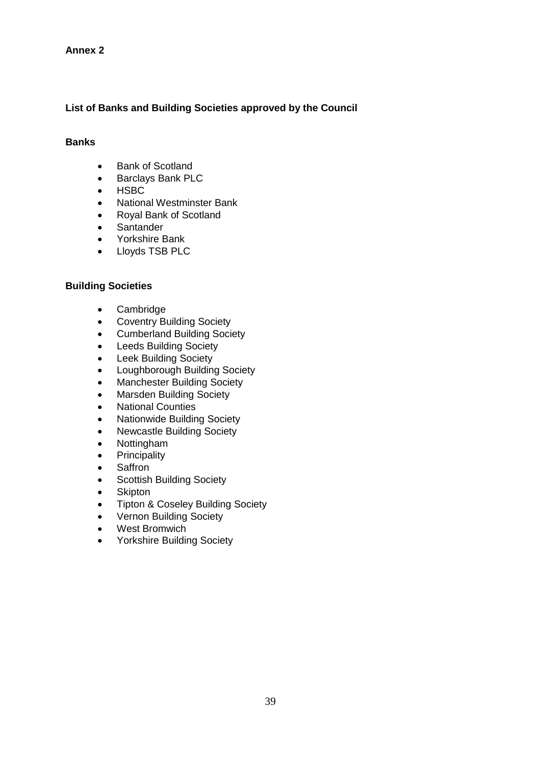# **List of Banks and Building Societies approved by the Council**

# **Banks**

- Bank of Scotland
- Barclays Bank PLC
- HSBC
- National Westminster Bank
- Royal Bank of Scotland
- Santander
- Yorkshire Bank
- Lloyds TSB PLC

# **Building Societies**

- Cambridge
- Coventry Building Society
- Cumberland Building Society
- Leeds Building Society
- Leek Building Society
- Loughborough Building Society
- Manchester Building Society
- Marsden Building Society
- National Counties
- Nationwide Building Society
- Newcastle Building Society
- Nottingham
- Principality
- Saffron
- Scottish Building Society
- **Skipton**
- Tipton & Coseley Building Society
- Vernon Building Society
- West Bromwich
- Yorkshire Building Society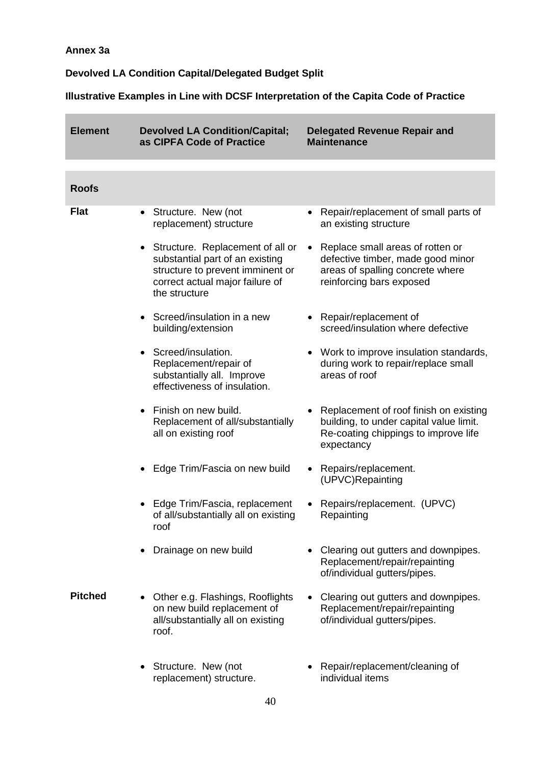# **Annex 3a**

# **Devolved LA Condition Capital/Delegated Budget Split**

**Illustrative Examples in Line with DCSF Interpretation of the Capita Code of Practice**

| <b>Element</b> | <b>Devolved LA Condition/Capital;</b><br>as CIPFA Code of Practice                                                                                            | <b>Delegated Revenue Repair and</b><br><b>Maintenance</b>                                                                               |
|----------------|---------------------------------------------------------------------------------------------------------------------------------------------------------------|-----------------------------------------------------------------------------------------------------------------------------------------|
|                |                                                                                                                                                               |                                                                                                                                         |
| <b>Roofs</b>   |                                                                                                                                                               |                                                                                                                                         |
| <b>Flat</b>    | • Structure. New (not<br>replacement) structure                                                                                                               | Repair/replacement of small parts of<br>an existing structure                                                                           |
|                | • Structure. Replacement of all or<br>substantial part of an existing<br>structure to prevent imminent or<br>correct actual major failure of<br>the structure | Replace small areas of rotten or<br>defective timber, made good minor<br>areas of spalling concrete where<br>reinforcing bars exposed   |
|                | • Screed/insulation in a new<br>building/extension                                                                                                            | Repair/replacement of<br>screed/insulation where defective                                                                              |
|                | Screed/insulation.<br>Replacement/repair of<br>substantially all. Improve<br>effectiveness of insulation.                                                     | Work to improve insulation standards,<br>during work to repair/replace small<br>areas of roof                                           |
|                | Finish on new build.<br>Replacement of all/substantially<br>all on existing roof                                                                              | Replacement of roof finish on existing<br>building, to under capital value limit.<br>Re-coating chippings to improve life<br>expectancy |
|                | Edge Trim/Fascia on new build                                                                                                                                 | Repairs/replacement.<br>$\bullet$<br>(UPVC)Repainting                                                                                   |
|                | Edge Trim/Fascia, replacement<br>of all/substantially all on existing<br>roof                                                                                 | Repairs/replacement. (UPVC)<br>Repainting                                                                                               |
|                | Drainage on new build                                                                                                                                         | Clearing out gutters and downpipes.<br>Replacement/repair/repainting<br>of/individual gutters/pipes.                                    |
| <b>Pitched</b> | Other e.g. Flashings, Rooflights<br>on new build replacement of<br>all/substantially all on existing<br>roof.                                                 | Clearing out gutters and downpipes.<br>Replacement/repair/repainting<br>of/individual gutters/pipes.                                    |
|                | • Structure. New (not<br>replacement) structure.                                                                                                              | Repair/replacement/cleaning of<br>individual items                                                                                      |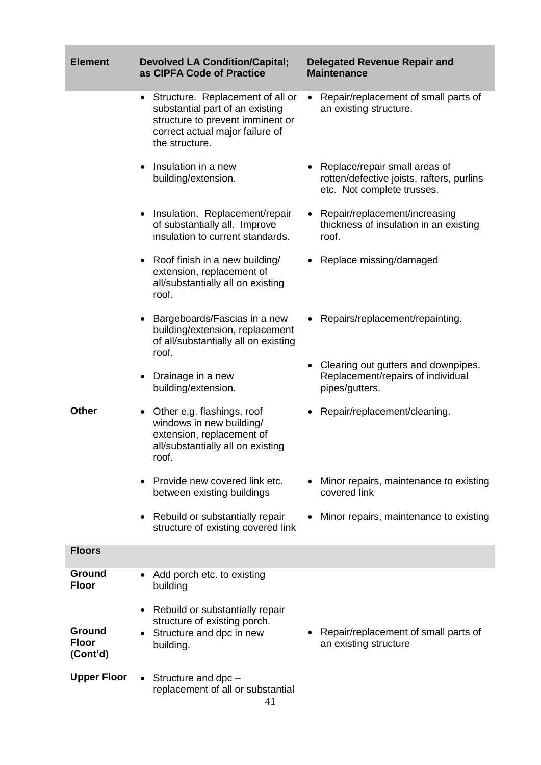| <b>Element</b>                     | <b>Devolved LA Condition/Capital;</b><br>as CIPFA Code of Practice                                                                                             | <b>Delegated Revenue Repair and</b><br><b>Maintenance</b>                                                |
|------------------------------------|----------------------------------------------------------------------------------------------------------------------------------------------------------------|----------------------------------------------------------------------------------------------------------|
|                                    | • Structure. Replacement of all or<br>substantial part of an existing<br>structure to prevent imminent or<br>correct actual major failure of<br>the structure. | Repair/replacement of small parts of<br>$\bullet$<br>an existing structure.                              |
|                                    | Insulation in a new<br>building/extension.                                                                                                                     | Replace/repair small areas of<br>rotten/defective joists, rafters, purlins<br>etc. Not complete trusses. |
|                                    | • Insulation. Replacement/repair<br>of substantially all. Improve<br>insulation to current standards.                                                          | Repair/replacement/increasing<br>thickness of insulation in an existing<br>roof.                         |
|                                    | • Roof finish in a new building/<br>extension, replacement of<br>all/substantially all on existing<br>roof.                                                    | Replace missing/damaged                                                                                  |
|                                    | Bargeboards/Fascias in a new<br>building/extension, replacement<br>of all/substantially all on existing<br>roof.                                               | Repairs/replacement/repainting.                                                                          |
|                                    | Drainage in a new<br>building/extension.                                                                                                                       | • Clearing out gutters and downpipes.<br>Replacement/repairs of individual<br>pipes/gutters.             |
| <b>Other</b>                       | Other e.g. flashings, roof<br>windows in new building/<br>extension, replacement of<br>all/substantially all on existing<br>roof.                              | Repair/replacement/cleaning.                                                                             |
|                                    | Provide new covered link etc.<br>between existing buildings                                                                                                    | Minor repairs, maintenance to existing<br>covered link                                                   |
|                                    | Rebuild or substantially repair<br>structure of existing covered link                                                                                          | Minor repairs, maintenance to existing                                                                   |
| <b>Floors</b>                      |                                                                                                                                                                |                                                                                                          |
| Ground<br><b>Floor</b>             | Add porch etc. to existing<br>building                                                                                                                         |                                                                                                          |
| Ground<br><b>Floor</b><br>(Cont'd) | Rebuild or substantially repair<br>structure of existing porch.<br>Structure and dpc in new<br>building.                                                       | Repair/replacement of small parts of<br>an existing structure                                            |
| <b>Upper Floor</b>                 | • Structure and dpc $-$<br>replacement of all or substantial<br>41                                                                                             |                                                                                                          |

**Contract Contract Contract**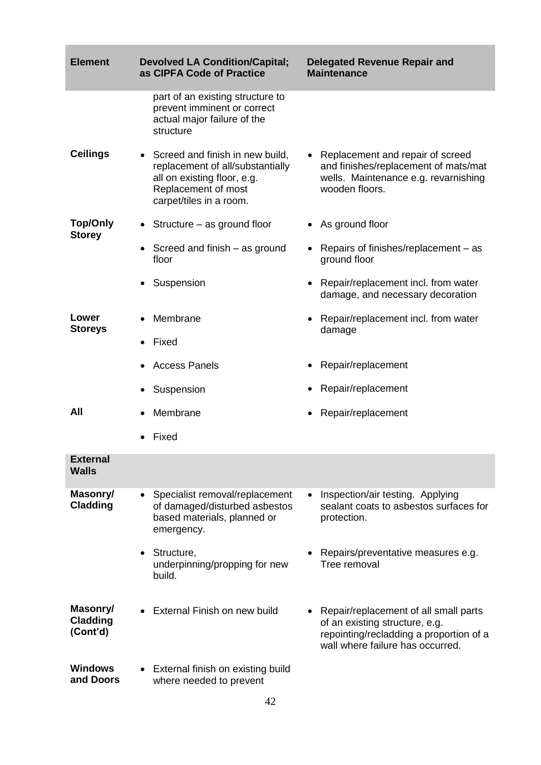| <b>Element</b>                          | <b>Devolved LA Condition/Capital;</b><br>as CIPFA Code of Practice                                                                                     | <b>Delegated Revenue Repair and</b><br><b>Maintenance</b>                                                                                              |
|-----------------------------------------|--------------------------------------------------------------------------------------------------------------------------------------------------------|--------------------------------------------------------------------------------------------------------------------------------------------------------|
|                                         | part of an existing structure to<br>prevent imminent or correct<br>actual major failure of the<br>structure                                            |                                                                                                                                                        |
| <b>Ceilings</b>                         | • Screed and finish in new build,<br>replacement of all/substantially<br>all on existing floor, e.g.<br>Replacement of most<br>carpet/tiles in a room. | • Replacement and repair of screed<br>and finishes/replacement of mats/mat<br>wells. Maintenance e.g. revarnishing<br>wooden floors.                   |
| <b>Top/Only</b><br><b>Storey</b>        | Structure – as ground floor                                                                                                                            | • As ground floor                                                                                                                                      |
|                                         | Screed and finish – as ground<br>floor                                                                                                                 | Repairs of finishes/replacement – as<br>ground floor                                                                                                   |
|                                         | • Suspension                                                                                                                                           | Repair/replacement incl. from water<br>damage, and necessary decoration                                                                                |
| Lower<br><b>Storeys</b>                 | Membrane                                                                                                                                               | Repair/replacement incl. from water<br>damage                                                                                                          |
|                                         | Fixed                                                                                                                                                  |                                                                                                                                                        |
|                                         | <b>Access Panels</b>                                                                                                                                   | Repair/replacement                                                                                                                                     |
|                                         | Suspension                                                                                                                                             | Repair/replacement                                                                                                                                     |
| All                                     | Membrane                                                                                                                                               | Repair/replacement                                                                                                                                     |
|                                         | Fixed                                                                                                                                                  |                                                                                                                                                        |
| <b>External</b><br>Walls                |                                                                                                                                                        |                                                                                                                                                        |
| Masonry/<br>Cladding                    | Specialist removal/replacement<br>$\bullet$<br>of damaged/disturbed asbestos<br>based materials, planned or<br>emergency.                              | Inspection/air testing. Applying<br>$\bullet$<br>sealant coats to asbestos surfaces for<br>protection.                                                 |
|                                         | Structure,<br>underpinning/propping for new<br>build.                                                                                                  | Repairs/preventative measures e.g.<br>Tree removal                                                                                                     |
| Masonry/<br><b>Cladding</b><br>(Cont'd) | External Finish on new build                                                                                                                           | Repair/replacement of all small parts<br>of an existing structure, e.g.<br>repointing/recladding a proportion of a<br>wall where failure has occurred. |
| <b>Windows</b><br>and Doors             | • External finish on existing build<br>where needed to prevent                                                                                         |                                                                                                                                                        |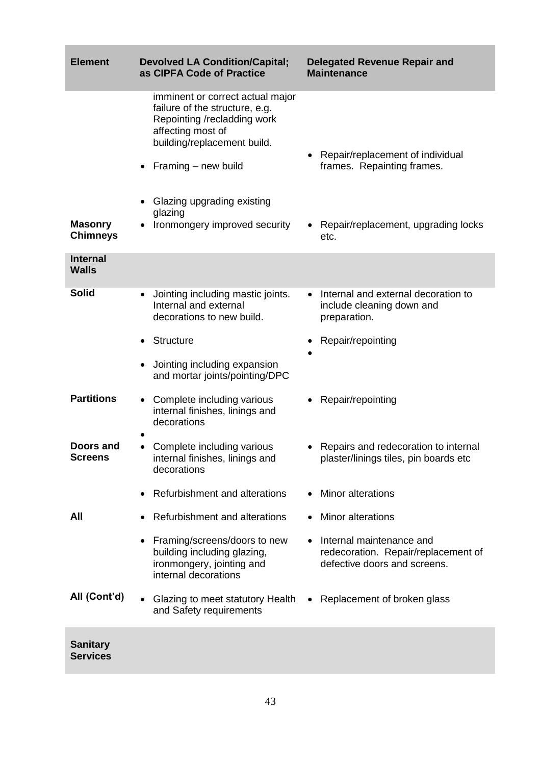| <b>Element</b>                     | <b>Devolved LA Condition/Capital;</b><br>as CIPFA Code of Practice                                                                                                                                         | <b>Delegated Revenue Repair and</b><br><b>Maintenance</b>                                       |
|------------------------------------|------------------------------------------------------------------------------------------------------------------------------------------------------------------------------------------------------------|-------------------------------------------------------------------------------------------------|
|                                    | imminent or correct actual major<br>failure of the structure, e.g.<br>Repointing /recladding work<br>affecting most of<br>building/replacement build.<br>Framing – new build<br>Glazing upgrading existing | Repair/replacement of individual<br>frames. Repainting frames.                                  |
| <b>Masonry</b><br><b>Chimneys</b>  | glazing<br>Ironmongery improved security                                                                                                                                                                   | • Repair/replacement, upgrading locks<br>etc.                                                   |
| <b>Internal</b><br><b>Walls</b>    |                                                                                                                                                                                                            |                                                                                                 |
| <b>Solid</b>                       | Jointing including mastic joints.<br>$\bullet$<br>Internal and external<br>decorations to new build.                                                                                                       | Internal and external decoration to<br>include cleaning down and<br>preparation.                |
|                                    | Structure                                                                                                                                                                                                  | Repair/repointing                                                                               |
|                                    | Jointing including expansion<br>and mortar joints/pointing/DPC                                                                                                                                             |                                                                                                 |
| <b>Partitions</b>                  | Complete including various<br>internal finishes, linings and<br>decorations                                                                                                                                | Repair/repointing                                                                               |
| <b>Doors and</b><br>Screens        | Complete including various<br>internal finishes, linings and<br>decorations                                                                                                                                | • Repairs and redecoration to internal<br>plaster/linings tiles, pin boards etc                 |
|                                    | Refurbishment and alterations                                                                                                                                                                              | <b>Minor alterations</b>                                                                        |
| All                                | Refurbishment and alterations                                                                                                                                                                              | <b>Minor alterations</b>                                                                        |
|                                    | Framing/screens/doors to new<br>building including glazing,<br>ironmongery, jointing and<br>internal decorations                                                                                           | Internal maintenance and<br>redecoration. Repair/replacement of<br>defective doors and screens. |
| All (Cont'd)                       | Glazing to meet statutory Health<br>and Safety requirements                                                                                                                                                | • Replacement of broken glass                                                                   |
| <b>Sanitary</b><br><b>Services</b> |                                                                                                                                                                                                            |                                                                                                 |

п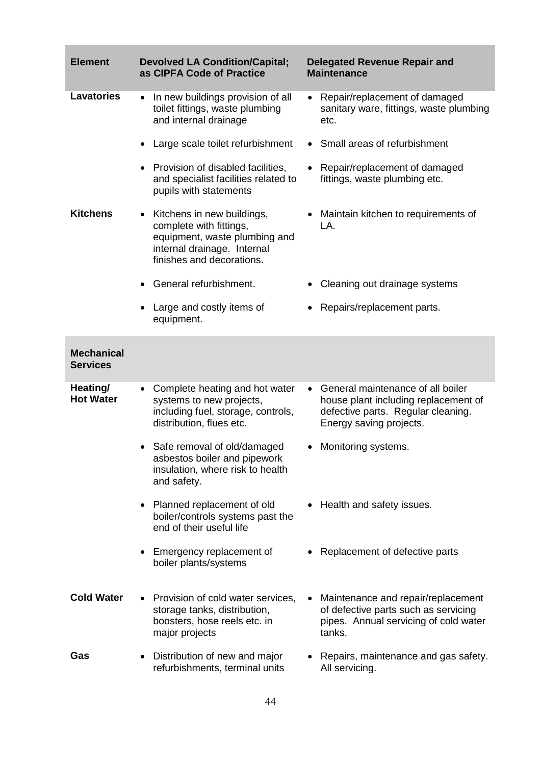| <b>Element</b>                       | <b>Devolved LA Condition/Capital;</b><br>as CIPFA Code of Practice                                                                                      | <b>Delegated Revenue Repair and</b><br><b>Maintenance</b>                                                                                               |
|--------------------------------------|---------------------------------------------------------------------------------------------------------------------------------------------------------|---------------------------------------------------------------------------------------------------------------------------------------------------------|
| <b>Lavatories</b>                    | In new buildings provision of all<br>$\bullet$<br>toilet fittings, waste plumbing<br>and internal drainage                                              | • Repair/replacement of damaged<br>sanitary ware, fittings, waste plumbing<br>etc.                                                                      |
|                                      | Large scale toilet refurbishment<br>$\bullet$                                                                                                           | Small areas of refurbishment<br>$\bullet$                                                                                                               |
|                                      | Provision of disabled facilities,<br>$\bullet$<br>and specialist facilities related to<br>pupils with statements                                        | Repair/replacement of damaged<br>fittings, waste plumbing etc.                                                                                          |
| <b>Kitchens</b>                      | Kitchens in new buildings,<br>٠<br>complete with fittings,<br>equipment, waste plumbing and<br>internal drainage. Internal<br>finishes and decorations. | • Maintain kitchen to requirements of<br>LA.                                                                                                            |
|                                      | General refurbishment.                                                                                                                                  | Cleaning out drainage systems                                                                                                                           |
|                                      | Large and costly items of<br>$\bullet$<br>equipment.                                                                                                    | Repairs/replacement parts.                                                                                                                              |
| <b>Mechanical</b><br><b>Services</b> |                                                                                                                                                         |                                                                                                                                                         |
| Heating/<br><b>Hot Water</b>         | Complete heating and hot water<br>$\bullet$<br>systems to new projects,<br>including fuel, storage, controls,<br>distribution, flues etc.               | General maintenance of all boiler<br>$\bullet$<br>house plant including replacement of<br>defective parts. Regular cleaning.<br>Energy saving projects. |
|                                      | Safe removal of old/damaged<br>$\bullet$<br>asbestos boiler and pipework<br>insulation, where risk to health<br>and safety.                             | Monitoring systems.<br>$\bullet$                                                                                                                        |
|                                      | • Planned replacement of old<br>boiler/controls systems past the<br>end of their useful life                                                            | Health and safety issues.<br>$\bullet$                                                                                                                  |
|                                      | Emergency replacement of<br>٠<br>boiler plants/systems                                                                                                  | Replacement of defective parts                                                                                                                          |
| <b>Cold Water</b>                    | Provision of cold water services,<br>$\bullet$<br>storage tanks, distribution,<br>boosters, hose reels etc. in<br>major projects                        | Maintenance and repair/replacement<br>of defective parts such as servicing<br>pipes. Annual servicing of cold water<br>tanks.                           |
| Gas                                  | Distribution of new and major<br>$\bullet$<br>refurbishments, terminal units                                                                            | • Repairs, maintenance and gas safety.<br>All servicing.                                                                                                |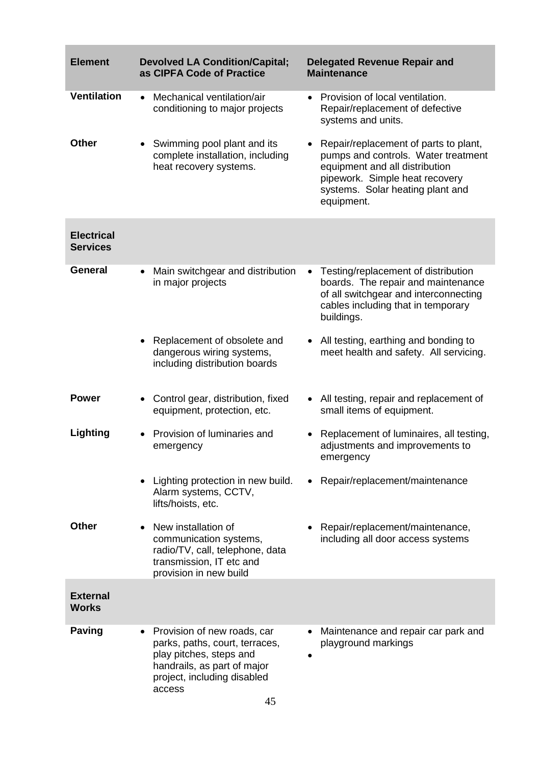| <b>Element</b>                       | <b>Devolved LA Condition/Capital;</b><br>as CIPFA Code of Practice                                                                                                     | <b>Delegated Revenue Repair and</b><br><b>Maintenance</b>                                                                                                                                                       |
|--------------------------------------|------------------------------------------------------------------------------------------------------------------------------------------------------------------------|-----------------------------------------------------------------------------------------------------------------------------------------------------------------------------------------------------------------|
| <b>Ventilation</b>                   | Mechanical ventilation/air<br>$\bullet$<br>conditioning to major projects                                                                                              | Provision of local ventilation.<br>$\bullet$<br>Repair/replacement of defective<br>systems and units.                                                                                                           |
| <b>Other</b>                         | Swimming pool plant and its<br>complete installation, including<br>heat recovery systems.                                                                              | Repair/replacement of parts to plant,<br>$\bullet$<br>pumps and controls. Water treatment<br>equipment and all distribution<br>pipework. Simple heat recovery<br>systems. Solar heating plant and<br>equipment. |
| <b>Electrical</b><br><b>Services</b> |                                                                                                                                                                        |                                                                                                                                                                                                                 |
| General                              | Main switchgear and distribution<br>in major projects                                                                                                                  | Testing/replacement of distribution<br>$\bullet$<br>boards. The repair and maintenance<br>of all switchgear and interconnecting<br>cables including that in temporary<br>buildings.                             |
|                                      | Replacement of obsolete and<br>dangerous wiring systems,<br>including distribution boards                                                                              | All testing, earthing and bonding to<br>$\bullet$<br>meet health and safety. All servicing.                                                                                                                     |
| <b>Power</b>                         | Control gear, distribution, fixed<br>$\bullet$<br>equipment, protection, etc.                                                                                          | All testing, repair and replacement of<br>small items of equipment.                                                                                                                                             |
| Lighting                             | Provision of luminaries and<br>$\bullet$<br>emergency                                                                                                                  | Replacement of luminaires, all testing,<br>٠<br>adjustments and improvements to<br>emergency                                                                                                                    |
|                                      | Lighting protection in new build.<br>Alarm systems, CCTV,<br>lifts/hoists, etc.                                                                                        | Repair/replacement/maintenance                                                                                                                                                                                  |
| <b>Other</b>                         | New installation of<br>communication systems,<br>radio/TV, call, telephone, data<br>transmission, IT etc and<br>provision in new build                                 | Repair/replacement/maintenance,<br>including all door access systems                                                                                                                                            |
| <b>External</b><br><b>Works</b>      |                                                                                                                                                                        |                                                                                                                                                                                                                 |
| <b>Paving</b>                        | Provision of new roads, car<br>parks, paths, court, terraces,<br>play pitches, steps and<br>handrails, as part of major<br>project, including disabled<br>access<br>45 | Maintenance and repair car park and<br>playground markings                                                                                                                                                      |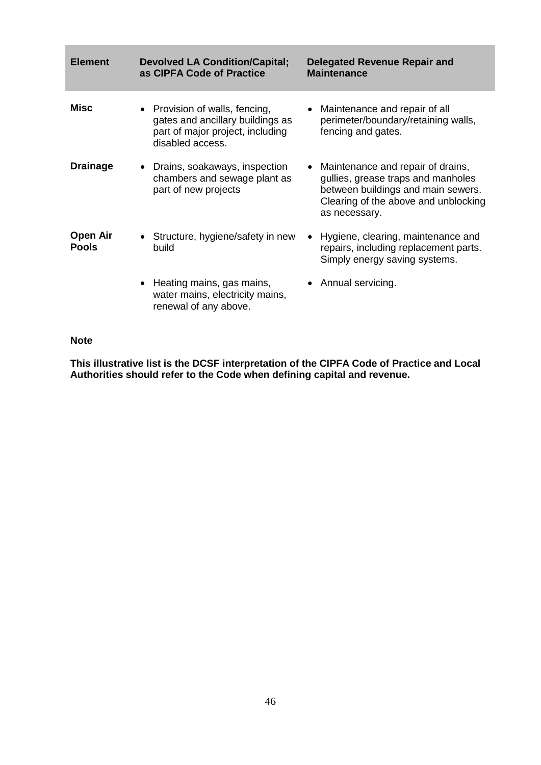| <b>Element</b>           | <b>Devolved LA Condition/Capital;</b><br>as CIPFA Code of Practice                                                         | <b>Delegated Revenue Repair and</b><br><b>Maintenance</b>                                                                                                                |
|--------------------------|----------------------------------------------------------------------------------------------------------------------------|--------------------------------------------------------------------------------------------------------------------------------------------------------------------------|
| Misc                     | • Provision of walls, fencing,<br>gates and ancillary buildings as<br>part of major project, including<br>disabled access. | • Maintenance and repair of all<br>perimeter/boundary/retaining walls,<br>fencing and gates.                                                                             |
| <b>Drainage</b>          | Drains, soakaways, inspection<br>$\bullet$<br>chambers and sewage plant as<br>part of new projects                         | • Maintenance and repair of drains,<br>gullies, grease traps and manholes<br>between buildings and main sewers.<br>Clearing of the above and unblocking<br>as necessary. |
| Open Air<br><b>Pools</b> | • Structure, hygiene/safety in new<br>build                                                                                | Hygiene, clearing, maintenance and<br>repairs, including replacement parts.<br>Simply energy saving systems.                                                             |
|                          | • Heating mains, gas mains,<br>water mains, electricity mains,<br>renewal of any above.                                    | • Annual servicing.                                                                                                                                                      |

#### **Note**

**This illustrative list is the DCSF interpretation of the CIPFA Code of Practice and Local Authorities should refer to the Code when defining capital and revenue.**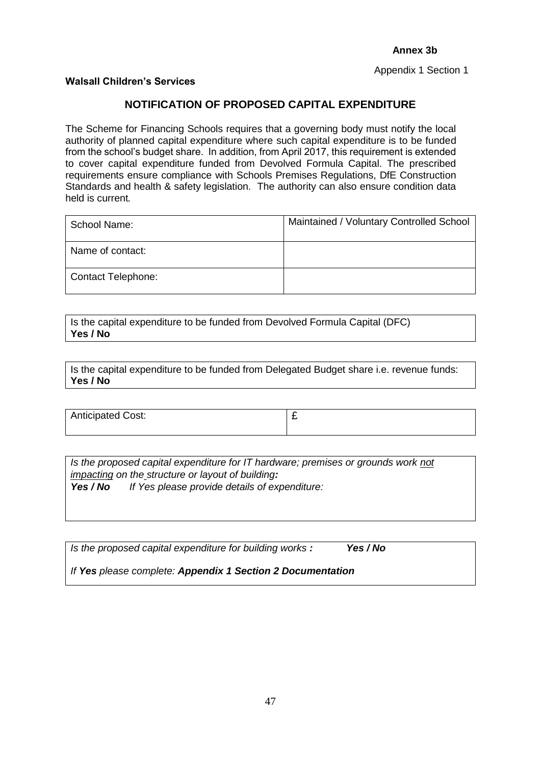Appendix 1 Section 1

#### **Walsall Children's Services**

# **NOTIFICATION OF PROPOSED CAPITAL EXPENDITURE**

The Scheme for Financing Schools requires that a governing body must notify the local authority of planned capital expenditure where such capital expenditure is to be funded from the school's budget share. In addition, from April 2017, this requirement is extended to cover capital expenditure funded from Devolved Formula Capital. The prescribed requirements ensure compliance with Schools Premises Regulations, DfE Construction Standards and health & safety legislation. The authority can also ensure condition data held is current*.* 

| School Name:              | Maintained / Voluntary Controlled School |
|---------------------------|------------------------------------------|
| Name of contact:          |                                          |
| <b>Contact Telephone:</b> |                                          |

Is the capital expenditure to be funded from Devolved Formula Capital (DFC) **Yes / No**

Is the capital expenditure to be funded from Delegated Budget share i.e. revenue funds: **Yes / No**

| <b>Anticipated Cost:</b> | - |
|--------------------------|---|
|                          |   |

*Is the proposed capital expenditure for IT hardware; premises or grounds work not impacting on the structure or layout of building: Yes / No If Yes please provide details of expenditure:*

*Is the proposed capital expenditure for building works : Yes / No* 

*If Yes please complete: Appendix 1 Section 2 Documentation*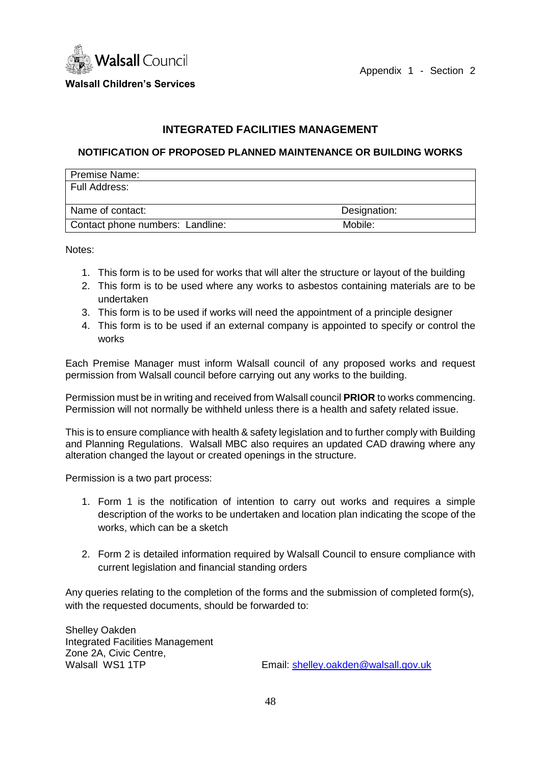

Appendix 1 - Section 2

**Walsall Children's Services**

# **INTEGRATED FACILITIES MANAGEMENT**

# **NOTIFICATION OF PROPOSED PLANNED MAINTENANCE OR BUILDING WORKS**

| Premise Name:                    |              |
|----------------------------------|--------------|
| Full Address:                    |              |
|                                  |              |
| Name of contact:                 | Designation: |
| Contact phone numbers: Landline: | Mobile:      |

Notes:

- 1. This form is to be used for works that will alter the structure or layout of the building
- 2. This form is to be used where any works to asbestos containing materials are to be undertaken
- 3. This form is to be used if works will need the appointment of a principle designer
- 4. This form is to be used if an external company is appointed to specify or control the works

Each Premise Manager must inform Walsall council of any proposed works and request permission from Walsall council before carrying out any works to the building.

Permission must be in writing and received from Walsall council **PRIOR** to works commencing. Permission will not normally be withheld unless there is a health and safety related issue.

This is to ensure compliance with health & safety legislation and to further comply with Building and Planning Regulations. Walsall MBC also requires an updated CAD drawing where any alteration changed the layout or created openings in the structure.

Permission is a two part process:

- 1. Form 1 is the notification of intention to carry out works and requires a simple description of the works to be undertaken and location plan indicating the scope of the works, which can be a sketch
- 2. Form 2 is detailed information required by Walsall Council to ensure compliance with current legislation and financial standing orders

Any queries relating to the completion of the forms and the submission of completed form(s), with the requested documents, should be forwarded to:

Shelley Oakden Integrated Facilities Management Zone 2A, Civic Centre,

Walsall WS1 1TP **Email:** [shelley.oakden@walsall.gov.uk](mailto:shelley.oakden@walsall.gov.uk)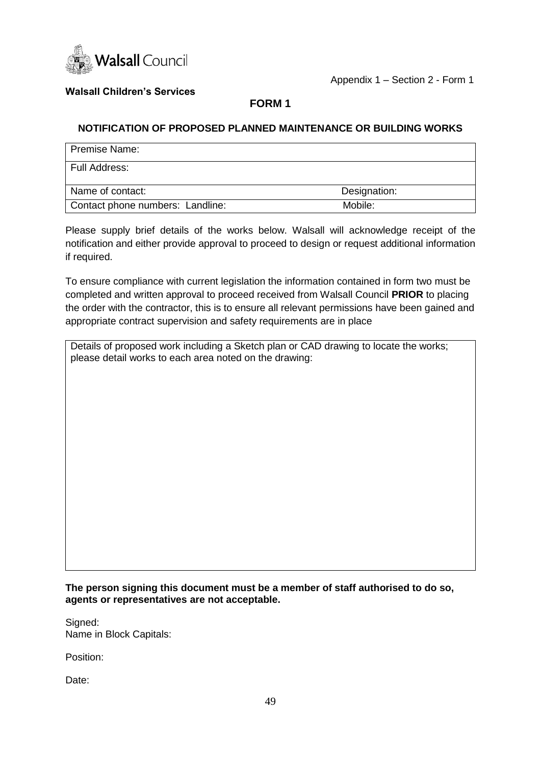

# **Walsall Children's Services**

# **FORM 1**

# **NOTIFICATION OF PROPOSED PLANNED MAINTENANCE OR BUILDING WORKS**

| <b>Premise Name:</b>             |              |
|----------------------------------|--------------|
| Full Address:                    |              |
| Name of contact:                 | Designation: |
| Contact phone numbers: Landline: | Mobile:      |

Please supply brief details of the works below. Walsall will acknowledge receipt of the notification and either provide approval to proceed to design or request additional information if required.

To ensure compliance with current legislation the information contained in form two must be completed and written approval to proceed received from Walsall Council **PRIOR** to placing the order with the contractor, this is to ensure all relevant permissions have been gained and appropriate contract supervision and safety requirements are in place

Details of proposed work including a Sketch plan or CAD drawing to locate the works; please detail works to each area noted on the drawing:

**The person signing this document must be a member of staff authorised to do so, agents or representatives are not acceptable.**

Signed: Name in Block Capitals:

Position:

Date: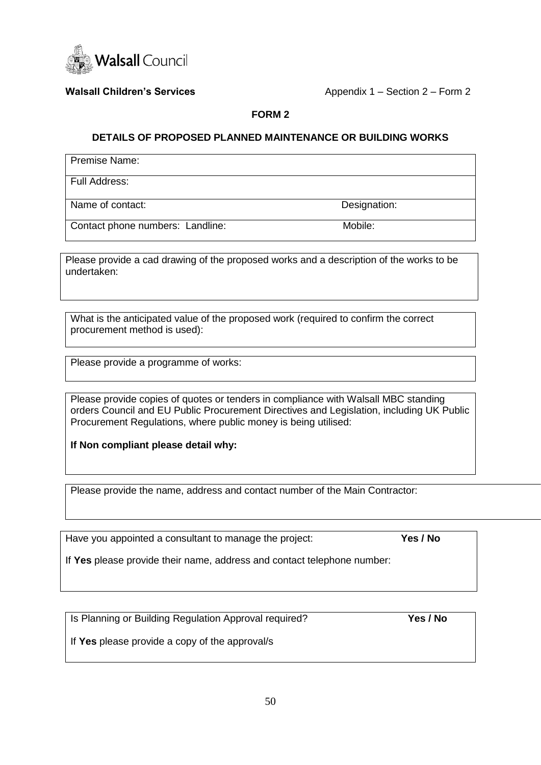

**Walsall Children's Services** Appendix 1 – Section 2 – Form 2

# **FORM 2**

# **DETAILS OF PROPOSED PLANNED MAINTENANCE OR BUILDING WORKS**

Premise Name:

Full Address:

Name of contact: Designation:

Contact phone numbers: Landline: Mobile:

Please provide a cad drawing of the proposed works and a description of the works to be undertaken:

What is the anticipated value of the proposed work (required to confirm the correct procurement method is used):

Please provide a programme of works:

Please provide copies of quotes or tenders in compliance with Walsall MBC standing orders Council and EU Public Procurement Directives and Legislation, including UK Public Procurement Regulations, where public money is being utilised:

**If Non compliant please detail why:**

Please provide the name, address and contact number of the Main Contractor:

Have you appointed a consultant to manage the project: **Yes / No**

If **Yes** please provide their name, address and contact telephone number:

Is Planning or Building Regulation Approval required? **Yes / No**

If **Yes** please provide a copy of the approval/s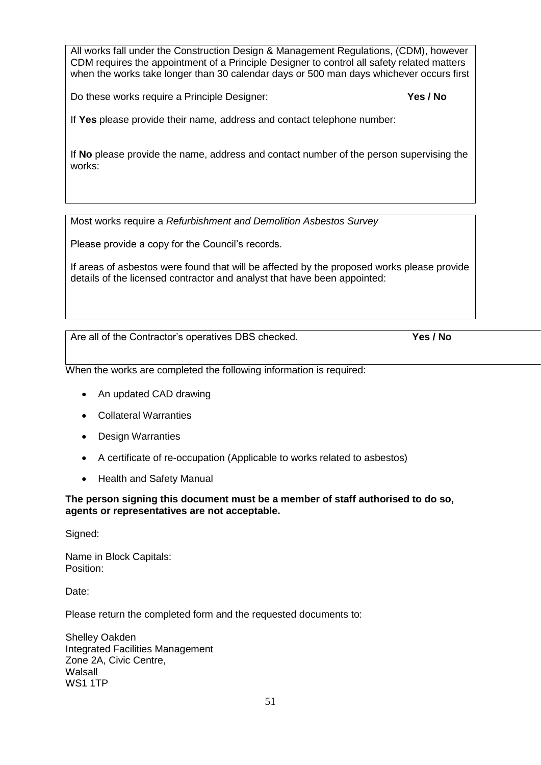All works fall under the Construction Design & Management Regulations, (CDM), however CDM requires the appointment of a Principle Designer to control all safety related matters when the works take longer than 30 calendar days or 500 man days whichever occurs first

Do these works require a Principle Designer: **Yes / No**

If **Yes** please provide their name, address and contact telephone number:

If **No** please provide the name, address and contact number of the person supervising the works:

Most works require a *Refurbishment and Demolition Asbestos Survey*

Please provide a copy for the Council's records.

If areas of asbestos were found that will be affected by the proposed works please provide details of the licensed contractor and analyst that have been appointed:

Are all of the Contractor's operatives DBS checked. **Yes / No**

When the works are completed the following information is required:

- An updated CAD drawing
- Collateral Warranties
- Design Warranties
- A certificate of re-occupation (Applicable to works related to asbestos)
- Health and Safety Manual

# **The person signing this document must be a member of staff authorised to do so, agents or representatives are not acceptable.**

Signed:

Name in Block Capitals: Position:

Date:

Please return the completed form and the requested documents to:

Shelley Oakden Integrated Facilities Management Zone 2A, Civic Centre, Walsall WS1 1TP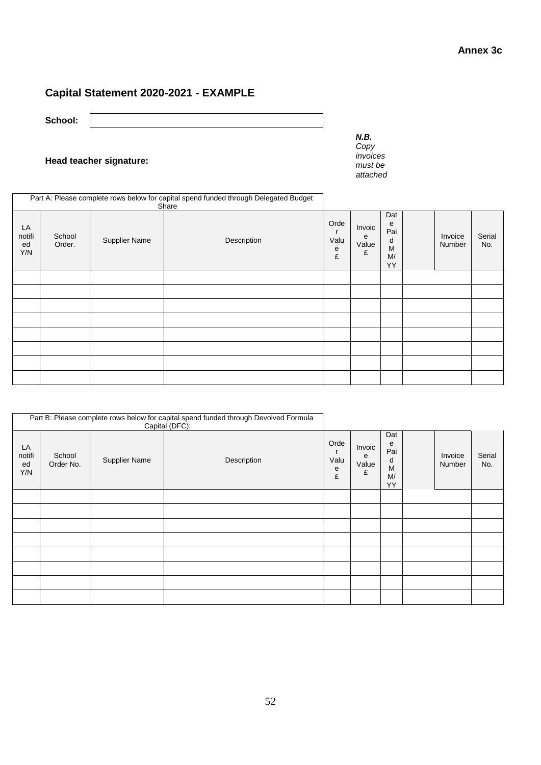# **Capital Statement 2020-2021 - EXAMPLE**

**School:**

# **Head teacher signature:**

*N.B. Copy invoices must be attached* 

|                           |                  |               | Part A: Please complete rows below for capital spend funded through Delegated Budget<br>Share |                        |                           |                                       |                   |               |
|---------------------------|------------------|---------------|-----------------------------------------------------------------------------------------------|------------------------|---------------------------|---------------------------------------|-------------------|---------------|
| LA<br>notifi<br>ed<br>Y/N | School<br>Order. | Supplier Name | Description                                                                                   | Orde<br>Valu<br>e<br>£ | Invoic<br>е<br>Value<br>£ | Dat<br>e<br>Pai<br>d<br>M<br>M/<br>YY | Invoice<br>Number | Serial<br>No. |
|                           |                  |               |                                                                                               |                        |                           |                                       |                   |               |
|                           |                  |               |                                                                                               |                        |                           |                                       |                   |               |
|                           |                  |               |                                                                                               |                        |                           |                                       |                   |               |
|                           |                  |               |                                                                                               |                        |                           |                                       |                   |               |
|                           |                  |               |                                                                                               |                        |                           |                                       |                   |               |
|                           |                  |               |                                                                                               |                        |                           |                                       |                   |               |
|                           |                  |               |                                                                                               |                        |                           |                                       |                   |               |
|                           |                  |               |                                                                                               |                        |                           |                                       |                   |               |

|                           |                     |                      | Part B: Please complete rows below for capital spend funded through Devolved Formula<br>Capital (DFC): |                        |                           |                                       |                   |               |
|---------------------------|---------------------|----------------------|--------------------------------------------------------------------------------------------------------|------------------------|---------------------------|---------------------------------------|-------------------|---------------|
| LA<br>notifi<br>ed<br>Y/N | School<br>Order No. | <b>Supplier Name</b> | Description                                                                                            | Orde<br>Valu<br>e<br>£ | Invoic<br>e<br>Value<br>£ | Dat<br>е<br>Pai<br>d<br>M<br>M/<br>YY | Invoice<br>Number | Serial<br>No. |
|                           |                     |                      |                                                                                                        |                        |                           |                                       |                   |               |
|                           |                     |                      |                                                                                                        |                        |                           |                                       |                   |               |
|                           |                     |                      |                                                                                                        |                        |                           |                                       |                   |               |
|                           |                     |                      |                                                                                                        |                        |                           |                                       |                   |               |
|                           |                     |                      |                                                                                                        |                        |                           |                                       |                   |               |
|                           |                     |                      |                                                                                                        |                        |                           |                                       |                   |               |
|                           |                     |                      |                                                                                                        |                        |                           |                                       |                   |               |
|                           |                     |                      |                                                                                                        |                        |                           |                                       |                   |               |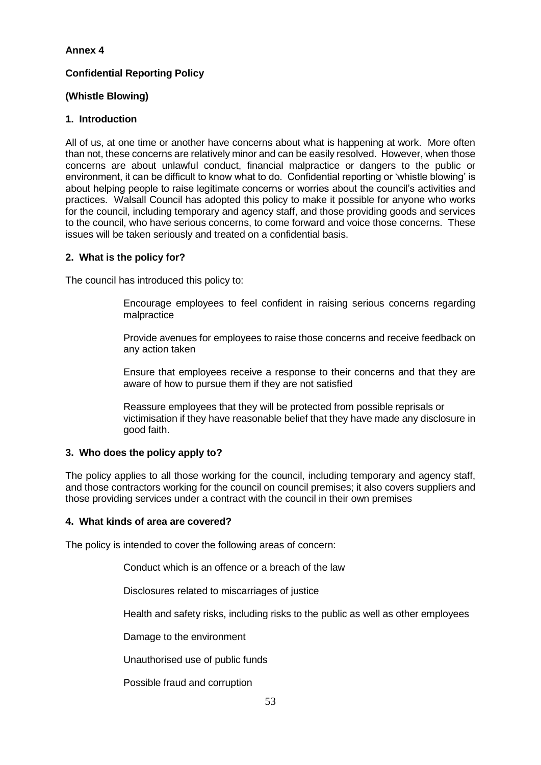# **Confidential Reporting Policy**

# **(Whistle Blowing)**

# **1. Introduction**

All of us, at one time or another have concerns about what is happening at work. More often than not, these concerns are relatively minor and can be easily resolved. However, when those concerns are about unlawful conduct, financial malpractice or dangers to the public or environment, it can be difficult to know what to do. Confidential reporting or 'whistle blowing' is about helping people to raise legitimate concerns or worries about the council's activities and practices. Walsall Council has adopted this policy to make it possible for anyone who works for the council, including temporary and agency staff, and those providing goods and services to the council, who have serious concerns, to come forward and voice those concerns. These issues will be taken seriously and treated on a confidential basis.

# **2. What is the policy for?**

The council has introduced this policy to:

Encourage employees to feel confident in raising serious concerns regarding malpractice

Provide avenues for employees to raise those concerns and receive feedback on any action taken

Ensure that employees receive a response to their concerns and that they are aware of how to pursue them if they are not satisfied

Reassure employees that they will be protected from possible reprisals or victimisation if they have reasonable belief that they have made any disclosure in good faith.

# **3. Who does the policy apply to?**

The policy applies to all those working for the council, including temporary and agency staff, and those contractors working for the council on council premises; it also covers suppliers and those providing services under a contract with the council in their own premises

# **4. What kinds of area are covered?**

The policy is intended to cover the following areas of concern:

Conduct which is an offence or a breach of the law

Disclosures related to miscarriages of justice

Health and safety risks, including risks to the public as well as other employees

Damage to the environment

Unauthorised use of public funds

Possible fraud and corruption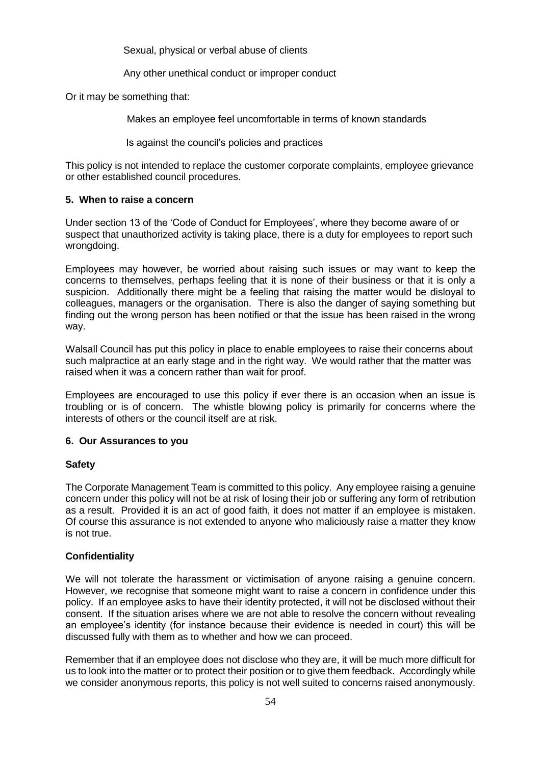Sexual, physical or verbal abuse of clients

Any other unethical conduct or improper conduct

Or it may be something that:

Makes an employee feel uncomfortable in terms of known standards

Is against the council's policies and practices

This policy is not intended to replace the customer corporate complaints, employee grievance or other established council procedures.

# **5. When to raise a concern**

Under section 13 of the 'Code of Conduct for Employees', where they become aware of or suspect that unauthorized activity is taking place, there is a duty for employees to report such wrongdoing.

Employees may however, be worried about raising such issues or may want to keep the concerns to themselves, perhaps feeling that it is none of their business or that it is only a suspicion. Additionally there might be a feeling that raising the matter would be disloyal to colleagues, managers or the organisation. There is also the danger of saying something but finding out the wrong person has been notified or that the issue has been raised in the wrong way.

Walsall Council has put this policy in place to enable employees to raise their concerns about such malpractice at an early stage and in the right way. We would rather that the matter was raised when it was a concern rather than wait for proof.

Employees are encouraged to use this policy if ever there is an occasion when an issue is troubling or is of concern. The whistle blowing policy is primarily for concerns where the interests of others or the council itself are at risk.

# **6. Our Assurances to you**

# **Safety**

The Corporate Management Team is committed to this policy. Any employee raising a genuine concern under this policy will not be at risk of losing their job or suffering any form of retribution as a result. Provided it is an act of good faith, it does not matter if an employee is mistaken. Of course this assurance is not extended to anyone who maliciously raise a matter they know is not true.

# **Confidentiality**

We will not tolerate the harassment or victimisation of anyone raising a genuine concern. However, we recognise that someone might want to raise a concern in confidence under this policy. If an employee asks to have their identity protected, it will not be disclosed without their consent. If the situation arises where we are not able to resolve the concern without revealing an employee's identity (for instance because their evidence is needed in court) this will be discussed fully with them as to whether and how we can proceed.

Remember that if an employee does not disclose who they are, it will be much more difficult for us to look into the matter or to protect their position or to give them feedback. Accordingly while we consider anonymous reports, this policy is not well suited to concerns raised anonymously.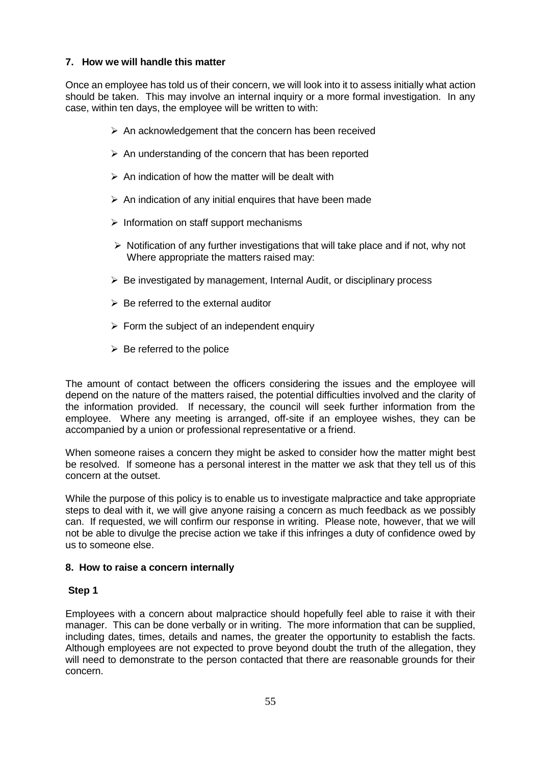# **7. How we will handle this matter**

Once an employee has told us of their concern, we will look into it to assess initially what action should be taken. This may involve an internal inquiry or a more formal investigation. In any case, within ten days, the employee will be written to with:

- $\triangleright$  An acknowledgement that the concern has been received
- $\triangleright$  An understanding of the concern that has been reported
- $\triangleright$  An indication of how the matter will be dealt with
- $\triangleright$  An indication of any initial enquires that have been made
- $\triangleright$  Information on staff support mechanisms
- $\triangleright$  Notification of any further investigations that will take place and if not, why not Where appropriate the matters raised may:
- $\triangleright$  Be investigated by management, Internal Audit, or disciplinary process
- $\triangleright$  Be referred to the external auditor
- $\triangleright$  Form the subject of an independent enquiry
- $\triangleright$  Be referred to the police

The amount of contact between the officers considering the issues and the employee will depend on the nature of the matters raised, the potential difficulties involved and the clarity of the information provided. If necessary, the council will seek further information from the employee. Where any meeting is arranged, off-site if an employee wishes, they can be accompanied by a union or professional representative or a friend.

When someone raises a concern they might be asked to consider how the matter might best be resolved. If someone has a personal interest in the matter we ask that they tell us of this concern at the outset.

While the purpose of this policy is to enable us to investigate malpractice and take appropriate steps to deal with it, we will give anyone raising a concern as much feedback as we possibly can. If requested, we will confirm our response in writing. Please note, however, that we will not be able to divulge the precise action we take if this infringes a duty of confidence owed by us to someone else.

# **8. How to raise a concern internally**

# **Step 1**

Employees with a concern about malpractice should hopefully feel able to raise it with their manager. This can be done verbally or in writing. The more information that can be supplied, including dates, times, details and names, the greater the opportunity to establish the facts. Although employees are not expected to prove beyond doubt the truth of the allegation, they will need to demonstrate to the person contacted that there are reasonable grounds for their concern.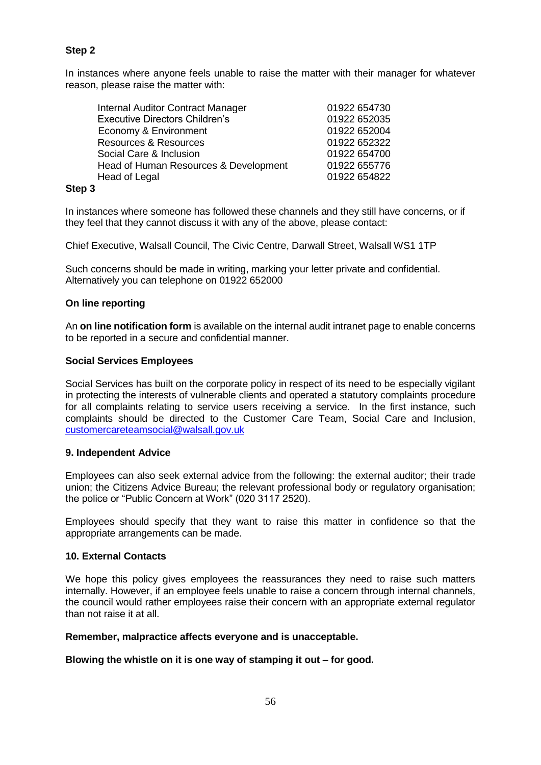# **Step 2**

In instances where anyone feels unable to raise the matter with their manager for whatever reason, please raise the matter with:

| <b>Internal Auditor Contract Manager</b> | 01922 654730 |
|------------------------------------------|--------------|
| <b>Executive Directors Children's</b>    | 01922 652035 |
| Economy & Environment                    | 01922 652004 |
| <b>Resources &amp; Resources</b>         | 01922 652322 |
| Social Care & Inclusion                  | 01922 654700 |
| Head of Human Resources & Development    | 01922 655776 |
| Head of Legal                            | 01922 654822 |
|                                          |              |

# **Step 3**

In instances where someone has followed these channels and they still have concerns, or if they feel that they cannot discuss it with any of the above, please contact:

Chief Executive, Walsall Council, The Civic Centre, Darwall Street, Walsall WS1 1TP

Such concerns should be made in writing, marking your letter private and confidential. Alternatively you can telephone on 01922 652000

#### **On line reporting**

An **on line notification form** is available on the internal audit intranet page to enable concerns to be reported in a secure and confidential manner.

#### **Social Services Employees**

Social Services has built on the corporate policy in respect of its need to be especially vigilant in protecting the interests of vulnerable clients and operated a statutory complaints procedure for all complaints relating to service users receiving a service. In the first instance, such complaints should be directed to the Customer Care Team, Social Care and Inclusion, [customercareteamsocial@walsall.gov.uk](mailto:customercareteamsocial@walsall.gov.uk)

#### **9. Independent Advice**

Employees can also seek external advice from the following: the external auditor; their trade union; the Citizens Advice Bureau; the relevant professional body or regulatory organisation; the police or "Public Concern at Work" (020 3117 2520).

Employees should specify that they want to raise this matter in confidence so that the appropriate arrangements can be made.

#### **10. External Contacts**

We hope this policy gives employees the reassurances they need to raise such matters internally. However, if an employee feels unable to raise a concern through internal channels, the council would rather employees raise their concern with an appropriate external regulator than not raise it at all.

#### **Remember, malpractice affects everyone and is unacceptable.**

#### **Blowing the whistle on it is one way of stamping it out – for good.**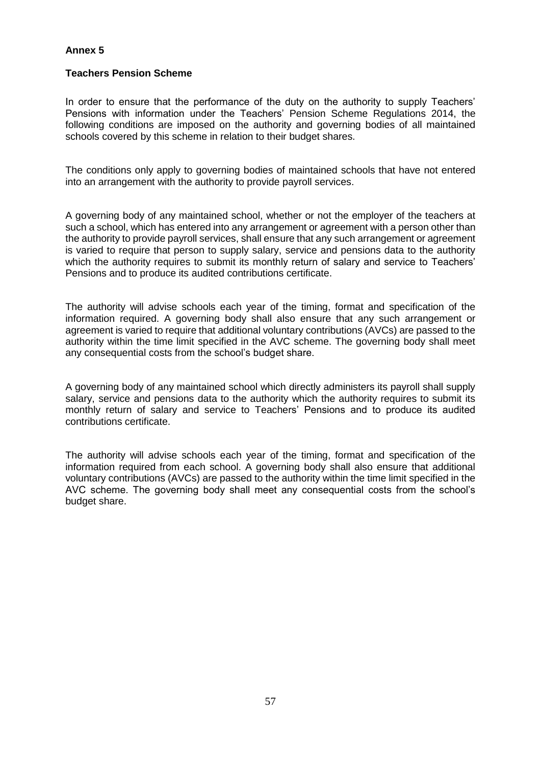#### **Teachers Pension Scheme**

In order to ensure that the performance of the duty on the authority to supply Teachers' Pensions with information under the Teachers' Pension Scheme Regulations 2014, the following conditions are imposed on the authority and governing bodies of all maintained schools covered by this scheme in relation to their budget shares.

The conditions only apply to governing bodies of maintained schools that have not entered into an arrangement with the authority to provide payroll services.

A governing body of any maintained school, whether or not the employer of the teachers at such a school, which has entered into any arrangement or agreement with a person other than the authority to provide payroll services, shall ensure that any such arrangement or agreement is varied to require that person to supply salary, service and pensions data to the authority which the authority requires to submit its monthly return of salary and service to Teachers' Pensions and to produce its audited contributions certificate.

The authority will advise schools each year of the timing, format and specification of the information required. A governing body shall also ensure that any such arrangement or agreement is varied to require that additional voluntary contributions (AVCs) are passed to the authority within the time limit specified in the AVC scheme. The governing body shall meet any consequential costs from the school's budget share.

A governing body of any maintained school which directly administers its payroll shall supply salary, service and pensions data to the authority which the authority requires to submit its monthly return of salary and service to Teachers' Pensions and to produce its audited contributions certificate.

The authority will advise schools each year of the timing, format and specification of the information required from each school. A governing body shall also ensure that additional voluntary contributions (AVCs) are passed to the authority within the time limit specified in the AVC scheme. The governing body shall meet any consequential costs from the school's budget share.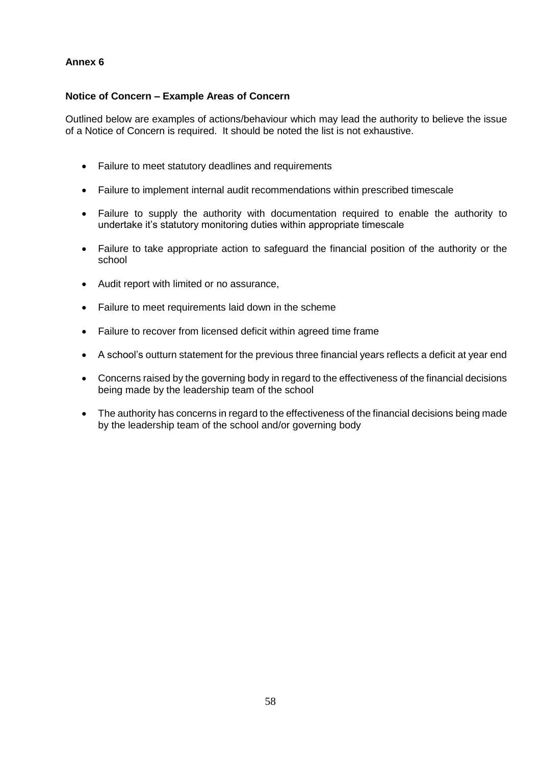# **Notice of Concern – Example Areas of Concern**

Outlined below are examples of actions/behaviour which may lead the authority to believe the issue of a Notice of Concern is required. It should be noted the list is not exhaustive.

- Failure to meet statutory deadlines and requirements
- Failure to implement internal audit recommendations within prescribed timescale
- Failure to supply the authority with documentation required to enable the authority to undertake it's statutory monitoring duties within appropriate timescale
- Failure to take appropriate action to safeguard the financial position of the authority or the school
- Audit report with limited or no assurance,
- Failure to meet requirements laid down in the scheme
- Failure to recover from licensed deficit within agreed time frame
- A school's outturn statement for the previous three financial years reflects a deficit at year end
- Concerns raised by the governing body in regard to the effectiveness of the financial decisions being made by the leadership team of the school
- The authority has concerns in regard to the effectiveness of the financial decisions being made by the leadership team of the school and/or governing body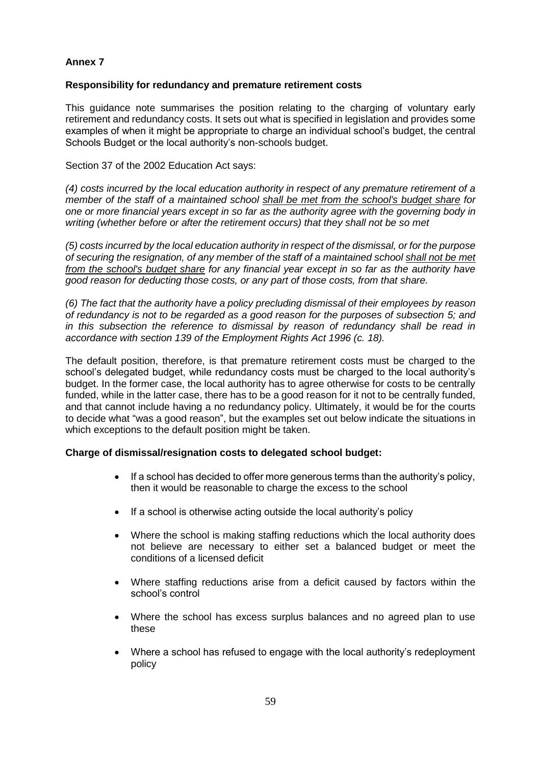### **Responsibility for redundancy and premature retirement costs**

This guidance note summarises the position relating to the charging of voluntary early retirement and redundancy costs. It sets out what is specified in legislation and provides some examples of when it might be appropriate to charge an individual school's budget, the central Schools Budget or the local authority's non-schools budget.

Section 37 of the 2002 Education Act says:

*(4) costs incurred by the local education authority in respect of any premature retirement of a member of the staff of a maintained school shall be met from the school's budget share for one or more financial years except in so far as the authority agree with the governing body in writing (whether before or after the retirement occurs) that they shall not be so met* 

*(5) costs incurred by the local education authority in respect of the dismissal, or for the purpose of securing the resignation, of any member of the staff of a maintained school shall not be met from the school's budget share for any financial year except in so far as the authority have good reason for deducting those costs, or any part of those costs, from that share.* 

*(6) The fact that the authority have a policy precluding dismissal of their employees by reason of redundancy is not to be regarded as a good reason for the purposes of subsection 5; and in this subsection the reference to dismissal by reason of redundancy shall be read in accordance with section 139 of the Employment Rights Act 1996 (c. 18).* 

The default position, therefore, is that premature retirement costs must be charged to the school's delegated budget, while redundancy costs must be charged to the local authority's budget. In the former case, the local authority has to agree otherwise for costs to be centrally funded, while in the latter case, there has to be a good reason for it not to be centrally funded, and that cannot include having a no redundancy policy. Ultimately, it would be for the courts to decide what "was a good reason", but the examples set out below indicate the situations in which exceptions to the default position might be taken.

# **Charge of dismissal/resignation costs to delegated school budget:**

- If a school has decided to offer more generous terms than the authority's policy, then it would be reasonable to charge the excess to the school
- If a school is otherwise acting outside the local authority's policy
- Where the school is making staffing reductions which the local authority does not believe are necessary to either set a balanced budget or meet the conditions of a licensed deficit
- Where staffing reductions arise from a deficit caused by factors within the school's control
- Where the school has excess surplus balances and no agreed plan to use these
- Where a school has refused to engage with the local authority's redeployment policy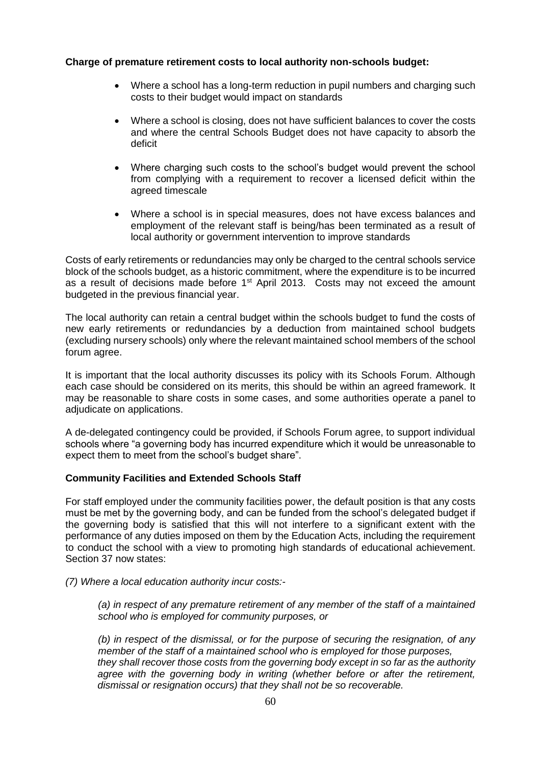# **Charge of premature retirement costs to local authority non-schools budget:**

- Where a school has a long-term reduction in pupil numbers and charging such costs to their budget would impact on standards
- Where a school is closing, does not have sufficient balances to cover the costs and where the central Schools Budget does not have capacity to absorb the deficit
- Where charging such costs to the school's budget would prevent the school from complying with a requirement to recover a licensed deficit within the agreed timescale
- Where a school is in special measures, does not have excess balances and employment of the relevant staff is being/has been terminated as a result of local authority or government intervention to improve standards

Costs of early retirements or redundancies may only be charged to the central schools service block of the schools budget, as a historic commitment, where the expenditure is to be incurred as a result of decisions made before 1<sup>st</sup> April 2013. Costs may not exceed the amount budgeted in the previous financial year.

The local authority can retain a central budget within the schools budget to fund the costs of new early retirements or redundancies by a deduction from maintained school budgets (excluding nursery schools) only where the relevant maintained school members of the school forum agree.

It is important that the local authority discusses its policy with its Schools Forum. Although each case should be considered on its merits, this should be within an agreed framework. It may be reasonable to share costs in some cases, and some authorities operate a panel to adjudicate on applications.

A de-delegated contingency could be provided, if Schools Forum agree, to support individual schools where "a governing body has incurred expenditure which it would be unreasonable to expect them to meet from the school's budget share".

#### **Community Facilities and Extended Schools Staff**

For staff employed under the community facilities power, the default position is that any costs must be met by the governing body, and can be funded from the school's delegated budget if the governing body is satisfied that this will not interfere to a significant extent with the performance of any duties imposed on them by the Education Acts, including the requirement to conduct the school with a view to promoting high standards of educational achievement. Section 37 now states:

*(7) Where a local education authority incur costs:-*

*(a) in respect of any premature retirement of any member of the staff of a maintained school who is employed for community purposes, or*

*(b) in respect of the dismissal, or for the purpose of securing the resignation, of any member of the staff of a maintained school who is employed for those purposes, they shall recover those costs from the governing body except in so far as the authority agree with the governing body in writing (whether before or after the retirement, dismissal or resignation occurs) that they shall not be so recoverable.*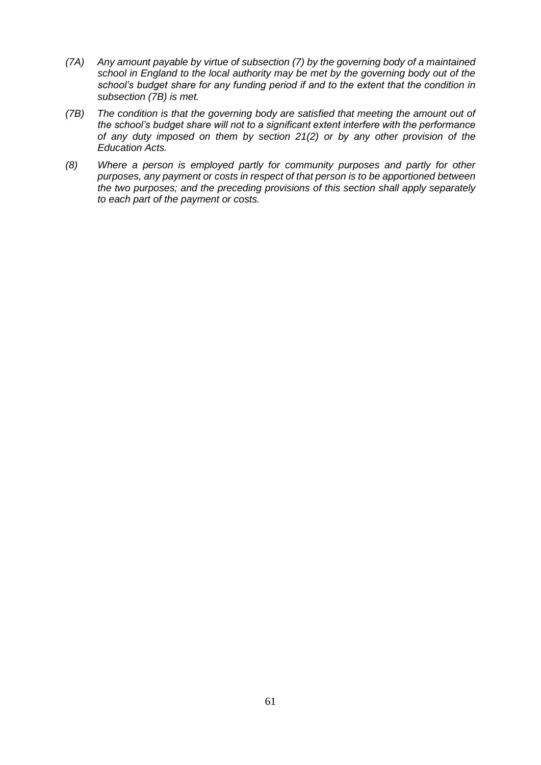- *(7A) Any amount payable by virtue of subsection (7) by the governing body of a maintained school in England to the local authority may be met by the governing body out of the school's budget share for any funding period if and to the extent that the condition in subsection (7B) is met.*
- *(7B) The condition is that the governing body are satisfied that meeting the amount out of the school's budget share will not to a significant extent interfere with the performance of any duty imposed on them by section 21(2) or by any other provision of the Education Acts.*
- *(8) Where a person is employed partly for community purposes and partly for other purposes, any payment or costs in respect of that person is to be apportioned between the two purposes; and the preceding provisions of this section shall apply separately to each part of the payment or costs.*